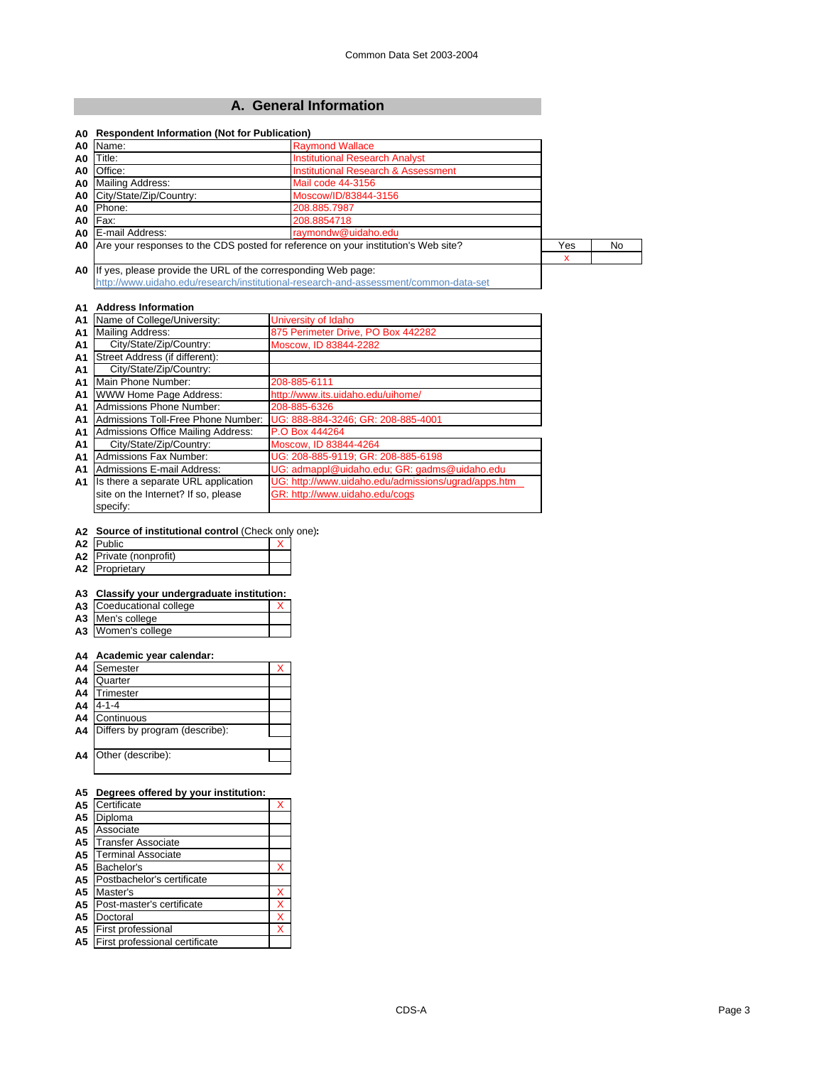### **A. General Information**

| Name:<br>A0                                                                          | <b>Raymond Wallace</b>                                                             |     |    |
|--------------------------------------------------------------------------------------|------------------------------------------------------------------------------------|-----|----|
| Title:<br>A0                                                                         | <b>Institutional Research Analyst</b>                                              |     |    |
| Office:<br>A0                                                                        | Institutional Research & Assessment                                                |     |    |
| <b>Mailing Address:</b><br>A0                                                        | Mail code 44-3156                                                                  |     |    |
| City/State/Zip/Country:<br>A0                                                        | Moscow/ID/83844-3156                                                               |     |    |
| Phone:<br>A0                                                                         | 208.885.7987                                                                       |     |    |
| Fax:<br>A0                                                                           | 208.8854718                                                                        |     |    |
| E-mail Address:<br>A0                                                                | raymondw@uidaho.edu                                                                |     |    |
| A0                                                                                   | Are your responses to the CDS posted for reference on your institution's Web site? | Yes | No |
|                                                                                      |                                                                                    | x   |    |
| A0                                                                                   | If yes, please provide the URL of the corresponding Web page:                      |     |    |
| http://www.uidaho.edu/research/institutional-research-and-assessment/common-data-set |                                                                                    |     |    |

#### **A1 Address Information**

| A1 | Name of College/University:         | University of Idaho                                 |
|----|-------------------------------------|-----------------------------------------------------|
| A1 | <b>Mailing Address:</b>             | 875 Perimeter Drive, PO Box 442282                  |
| A1 | City/State/Zip/Country:             | Moscow, ID 83844-2282                               |
| A1 | Street Address (if different):      |                                                     |
| A1 | City/State/Zip/Country:             |                                                     |
| A1 | Main Phone Number:                  | 208-885-6111                                        |
| A1 | <b>WWW Home Page Address:</b>       | http://www.its.uidaho.edu/uihome/                   |
| A1 | Admissions Phone Number:            | 208-885-6326                                        |
| A1 | Admissions Toll-Free Phone Number:  | UG: 888-884-3246; GR: 208-885-4001                  |
| A1 | Admissions Office Mailing Address:  | P.O Box 444264                                      |
| A1 | City/State/Zip/Country:             | Moscow, ID 83844-4264                               |
| A1 | Admissions Fax Number:              | UG: 208-885-9119; GR: 208-885-6198                  |
| A1 | Admissions E-mail Address:          | UG: admappl@uidaho.edu; GR: gadms@uidaho.edu        |
| A1 | Is there a separate URL application | UG: http://www.uidaho.edu/admissions/ugrad/apps.htm |
|    | site on the Internet? If so, please | GR: http://www.uidaho.edu/cogs                      |
|    | specify:                            |                                                     |
|    |                                     |                                                     |

#### **A2 Source of institutional control** (Check only one)**:**

| A2 Public              |  |
|------------------------|--|
| A2 Private (nonprofit) |  |
|                        |  |

| A2 Proprietary |  |
|----------------|--|
|                |  |

#### **A3 Classify your undergraduate institution:**

- **A3** Coeducational college X
- **A3** Men's college **A3** Women's college

#### **A4 Academic year calendar:**

| A <sub>4</sub> | Semester                       |  |
|----------------|--------------------------------|--|
| A <sub>4</sub> | Quarter                        |  |
| A <sub>4</sub> | Trimester                      |  |
| A <sub>4</sub> | 4-1-4                          |  |
| A <sub>4</sub> | Continuous                     |  |
| A <sub>4</sub> | Differs by program (describe): |  |
|                |                                |  |
| A4             | Other (describe):              |  |
|                |                                |  |

### **A5 Degrees offered by your institution:**

| A <sub>5</sub> | Certificate                    |   |
|----------------|--------------------------------|---|
| A <sub>5</sub> | Diploma                        |   |
| A <sub>5</sub> | Associate                      |   |
| A <sub>5</sub> | <b>Transfer Associate</b>      |   |
| A <sub>5</sub> | <b>Terminal Associate</b>      |   |
| A5             | Bachelor's                     |   |
| A <sub>5</sub> | Postbachelor's certificate     |   |
| A <sub>5</sub> | Master's                       | х |
| A <sub>5</sub> | Post-master's certificate      | X |
| A <sub>5</sub> | Doctoral                       | X |
| A5             | First professional             | X |
| A <sub>5</sub> | First professional certificate |   |
|                |                                |   |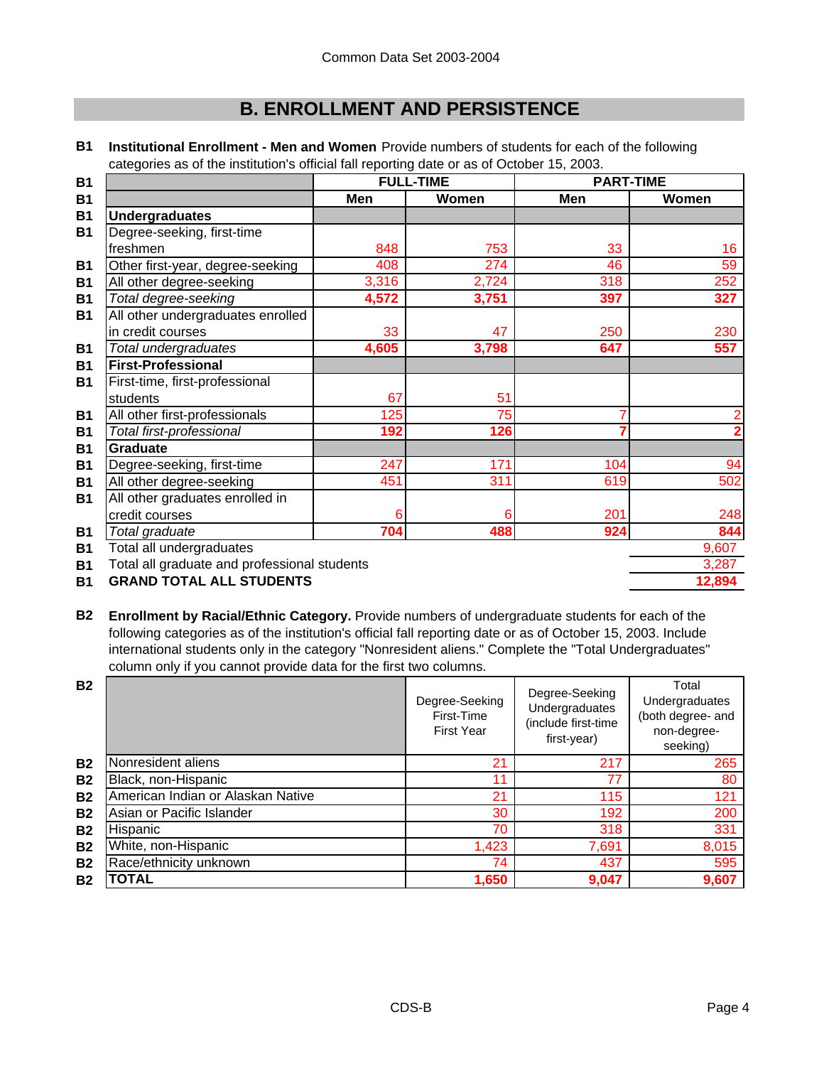# **B. ENROLLMENT AND PERSISTENCE**

|                                              | <b>FULL-TIME</b> |       | <b>PART-TIME</b> |       |
|----------------------------------------------|------------------|-------|------------------|-------|
|                                              | Men              | Women | Men              | Women |
| <b>Undergraduates</b>                        |                  |       |                  |       |
| Degree-seeking, first-time                   |                  |       |                  |       |
| freshmen                                     | 848              | 753   | 33               | 16    |
| Other first-year, degree-seeking             | 408              | 274   | 46               | 59    |
| All other degree-seeking                     | 3,316            | 2,724 | 318              | 252   |
| Total degree-seeking                         | 4,572            | 3,751 | 397              | 327   |
| All other undergraduates enrolled            |                  |       |                  |       |
| in credit courses                            | 33               | 47    | 250              | 230   |
| Total undergraduates                         | 4,605            | 3,798 | 647              | 557   |
| <b>First-Professional</b>                    |                  |       |                  |       |
| First-time, first-professional               |                  |       |                  |       |
| students                                     | 67               | 51    |                  |       |
| All other first-professionals                | 125              | 75    |                  |       |
| Total first-professional                     | 192              | 126   |                  |       |
| <b>Graduate</b>                              |                  |       |                  |       |
| Degree-seeking, first-time                   | 247              | 171   | 104              | 94    |
| All other degree-seeking                     | 451              | 311   | 619              | 502   |
| All other graduates enrolled in              |                  |       |                  |       |
| credit courses                               | 6                | 6     | 201              | 248   |
| Total graduate                               | 704              | 488   | 924              | 844   |
| Total all undergraduates                     |                  |       |                  | 9,607 |
| Total all graduate and professional students |                  |       |                  | 3,287 |
|                                              |                  |       |                  |       |

**B1 Institutional Enrollment - Men and Women** Provide numbers of students for each of the following categories as of the institution's official fall reporting date or as of October 15, 2003.

**B1 12,894 GRAND TOTAL ALL STUDENTS**

**B2 Enrollment by Racial/Ethnic Category.** Provide numbers of undergraduate students for each of the following categories as of the institution's official fall reporting date or as of October 15, 2003. Include international students only in the category "Nonresident aliens." Complete the "Total Undergraduates" column only if you cannot provide data for the first two columns.

| <b>B2</b> |                                   | Degree-Seeking<br>First-Time<br><b>First Year</b> | Degree-Seeking<br>Undergraduates<br>(include first-time<br>first-year) | Total<br>Undergraduates<br>(both degree- and<br>non-degree-<br>seeking) |
|-----------|-----------------------------------|---------------------------------------------------|------------------------------------------------------------------------|-------------------------------------------------------------------------|
| <b>B2</b> | Nonresident aliens                | 21                                                | 217                                                                    | 265                                                                     |
| <b>B2</b> | Black, non-Hispanic               | 11                                                | 77                                                                     | 80                                                                      |
| <b>B2</b> | American Indian or Alaskan Native | 21                                                | 115                                                                    | 121                                                                     |
| <b>B2</b> | Asian or Pacific Islander         | 30                                                | 192                                                                    | 200                                                                     |
| <b>B2</b> | Hispanic                          | 70                                                | 318                                                                    | 331                                                                     |
| <b>B2</b> | White, non-Hispanic               | 1,423                                             | 7,691                                                                  | 8,015                                                                   |
| <b>B2</b> | Race/ethnicity unknown            | 74                                                | 437                                                                    | 595                                                                     |
| <b>B2</b> | TOTAL                             | 1,650                                             | 9,047                                                                  | 9,607                                                                   |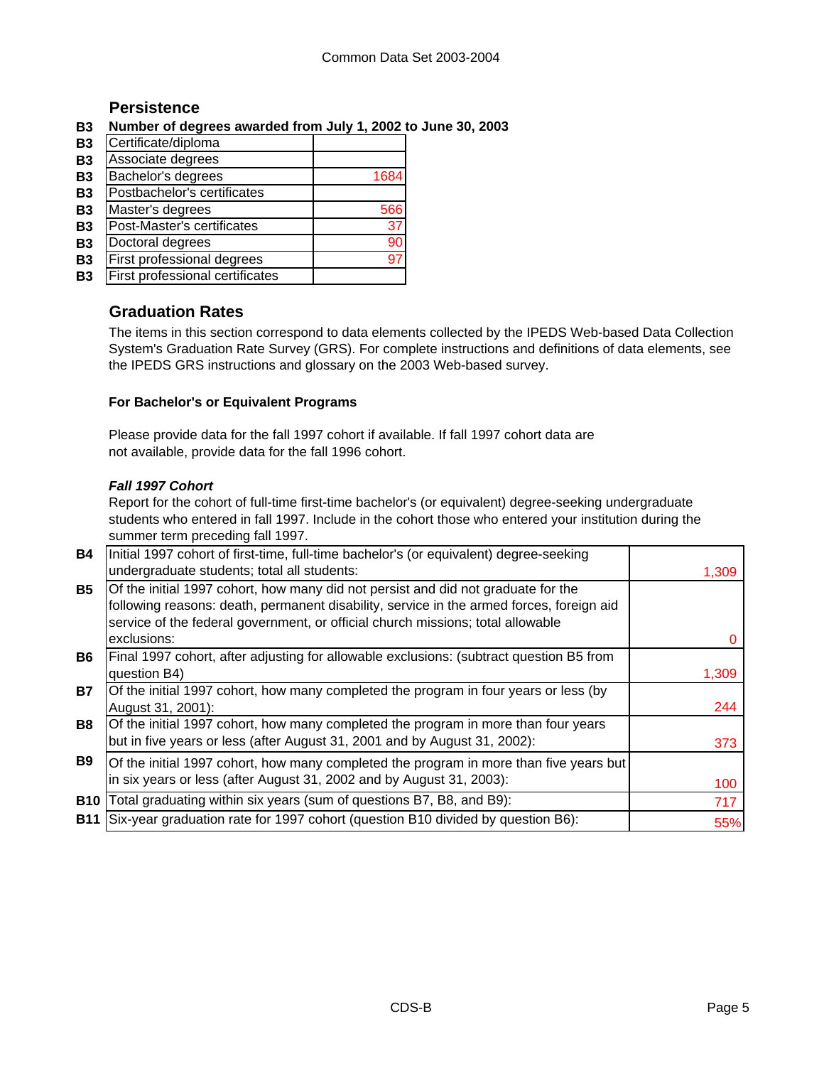# **Persistence**

## **B3 Number of degrees awarded from July 1, 2002 to June 30, 2003**

| <b>B3</b> | Certificate/diploma             |      |
|-----------|---------------------------------|------|
| <b>B3</b> | Associate degrees               |      |
| <b>B3</b> | Bachelor's degrees              | 1684 |
| <b>B3</b> | Postbachelor's certificates     |      |
| <b>B3</b> | Master's degrees                | 566  |
| <b>B3</b> | Post-Master's certificates      | 37   |
| <b>B3</b> | Doctoral degrees                | 90   |
| <b>B3</b> | First professional degrees      |      |
| Β3        | First professional certificates |      |
|           |                                 |      |

# **Graduation Rates**

The items in this section correspond to data elements collected by the IPEDS Web-based Data Collection System's Graduation Rate Survey (GRS). For complete instructions and definitions of data elements, see the IPEDS GRS instructions and glossary on the 2003 Web-based survey.

### **For Bachelor's or Equivalent Programs**

Please provide data for the fall 1997 cohort if available. If fall 1997 cohort data are not available, provide data for the fall 1996 cohort.

### *Fall 1997 Cohort*

Report for the cohort of full-time first-time bachelor's (or equivalent) degree-seeking undergraduate students who entered in fall 1997. Include in the cohort those who entered your institution during the summer term preceding fall 1997.

| <b>B4</b>  | Initial 1997 cohort of first-time, full-time bachelor's (or equivalent) degree-seeking   |       |
|------------|------------------------------------------------------------------------------------------|-------|
|            | undergraduate students; total all students:                                              | 1,309 |
| <b>B5</b>  | Of the initial 1997 cohort, how many did not persist and did not graduate for the        |       |
|            | following reasons: death, permanent disability, service in the armed forces, foreign aid |       |
|            | service of the federal government, or official church missions; total allowable          |       |
|            | exclusions:                                                                              |       |
| <b>B6</b>  | Final 1997 cohort, after adjusting for allowable exclusions: (subtract question B5 from  |       |
|            | question B4)                                                                             | 1,309 |
| <b>B7</b>  | Of the initial 1997 cohort, how many completed the program in four years or less (by     |       |
|            | August 31, 2001):                                                                        | 244   |
| <b>B8</b>  | Of the initial 1997 cohort, how many completed the program in more than four years       |       |
|            | but in five years or less (after August 31, 2001 and by August 31, 2002):                | 373   |
| <b>B</b> 9 | Of the initial 1997 cohort, how many completed the program in more than five years but   |       |
|            | in six years or less (after August 31, 2002 and by August 31, 2003):                     | 100   |
| <b>B10</b> | Total graduating within six years (sum of questions B7, B8, and B9):                     | 717   |
| <b>B11</b> | Six-year graduation rate for 1997 cohort (question B10 divided by question B6):          |       |
|            |                                                                                          | 55%   |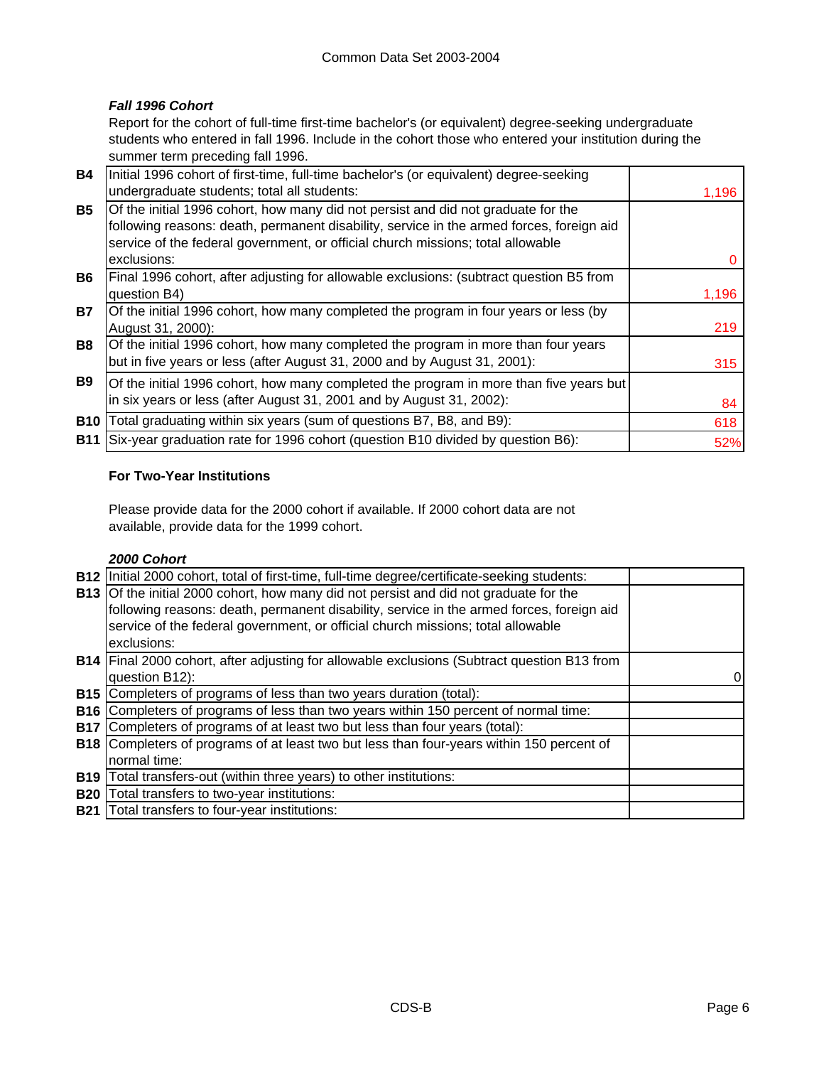# *Fall 1996 Cohort*

Report for the cohort of full-time first-time bachelor's (or equivalent) degree-seeking undergraduate students who entered in fall 1996. Include in the cohort those who entered your institution during the summer term preceding fall 1996.

| <b>B4</b>  | Initial 1996 cohort of first-time, full-time bachelor's (or equivalent) degree-seeking   |       |
|------------|------------------------------------------------------------------------------------------|-------|
|            | undergraduate students; total all students:                                              | 1,196 |
| <b>B5</b>  | Of the initial 1996 cohort, how many did not persist and did not graduate for the        |       |
|            | following reasons: death, permanent disability, service in the armed forces, foreign aid |       |
|            | service of the federal government, or official church missions; total allowable          |       |
|            | exclusions:                                                                              |       |
| <b>B6</b>  | Final 1996 cohort, after adjusting for allowable exclusions: (subtract question B5 from  |       |
|            | question B4)                                                                             | 1,196 |
| <b>B7</b>  | Of the initial 1996 cohort, how many completed the program in four years or less (by     |       |
|            | August 31, 2000):                                                                        | 219   |
| <b>B8</b>  | Of the initial 1996 cohort, how many completed the program in more than four years       |       |
|            | but in five years or less (after August 31, 2000 and by August 31, 2001):                | 315   |
| <b>B9</b>  | Of the initial 1996 cohort, how many completed the program in more than five years but   |       |
|            | in six years or less (after August 31, 2001 and by August 31, 2002):                     | 84    |
| <b>B10</b> | Total graduating within six years (sum of questions B7, B8, and B9):                     | 618   |
| <b>B11</b> | Six-year graduation rate for 1996 cohort (question B10 divided by question B6):          |       |
|            |                                                                                          | 52%   |

## **For Two-Year Institutions**

Please provide data for the 2000 cohort if available. If 2000 cohort data are not available, provide data for the 1999 cohort.

### *2000 Cohort*

|            | B12   Initial 2000 cohort, total of first-time, full-time degree/certificate-seeking students:     |          |
|------------|----------------------------------------------------------------------------------------------------|----------|
|            | <b>B13</b> Of the initial 2000 cohort, how many did not persist and did not graduate for the       |          |
|            | following reasons: death, permanent disability, service in the armed forces, foreign aid           |          |
|            | service of the federal government, or official church missions; total allowable                    |          |
|            | exclusions:                                                                                        |          |
|            | <b>B14</b> Final 2000 cohort, after adjusting for allowable exclusions (Subtract question B13 from |          |
|            | question B12):                                                                                     | $\Omega$ |
|            | <b>B15</b> Completers of programs of less than two years duration (total):                         |          |
| <b>B16</b> | Completers of programs of less than two years within 150 percent of normal time:                   |          |
| <b>B17</b> | Completers of programs of at least two but less than four years (total):                           |          |
|            | <b>B18</b> Completers of programs of at least two but less than four-years within 150 percent of   |          |
|            | normal time:                                                                                       |          |
| <b>B19</b> | Total transfers-out (within three years) to other institutions:                                    |          |
| <b>B20</b> | Total transfers to two-year institutions:                                                          |          |
|            | <b>B21</b> Total transfers to four-year institutions:                                              |          |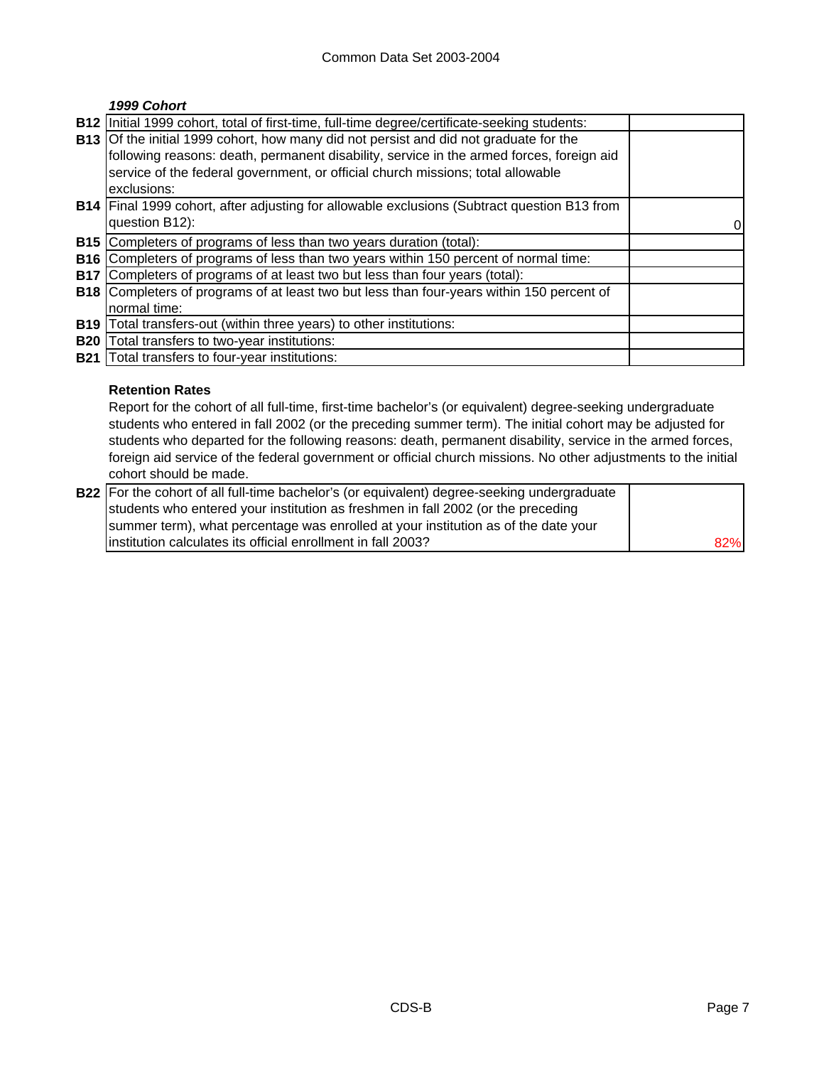# *1999 Cohort*

| <b>B12</b> | Initial 1999 cohort, total of first-time, full-time degree/certificate-seeking students:         |  |
|------------|--------------------------------------------------------------------------------------------------|--|
|            | <b>B13</b> Of the initial 1999 cohort, how many did not persist and did not graduate for the     |  |
|            | following reasons: death, permanent disability, service in the armed forces, foreign aid         |  |
|            | service of the federal government, or official church missions; total allowable                  |  |
|            | exclusions:                                                                                      |  |
|            | B14   Final 1999 cohort, after adjusting for allowable exclusions (Subtract question B13 from    |  |
|            | question B12):                                                                                   |  |
| <b>B15</b> | Completers of programs of less than two years duration (total):                                  |  |
| <b>B16</b> | Completers of programs of less than two years within 150 percent of normal time:                 |  |
| <b>B17</b> | Completers of programs of at least two but less than four years (total):                         |  |
|            | <b>B18</b> Completers of programs of at least two but less than four-years within 150 percent of |  |
|            | normal time:                                                                                     |  |
| <b>B19</b> | Total transfers-out (within three years) to other institutions:                                  |  |
| <b>B20</b> | Total transfers to two-year institutions:                                                        |  |
| <b>B21</b> | Total transfers to four-year institutions:                                                       |  |

### **Retention Rates**

Report for the cohort of all full-time, first-time bachelor's (or equivalent) degree-seeking undergraduate students who entered in fall 2002 (or the preceding summer term). The initial cohort may be adjusted for students who departed for the following reasons: death, permanent disability, service in the armed forces, foreign aid service of the federal government or official church missions. No other adjustments to the initial cohort should be made.

| B22 For the cohort of all full-time bachelor's (or equivalent) degree-seeking undergraduate |     |
|---------------------------------------------------------------------------------------------|-----|
| students who entered your institution as freshmen in fall 2002 (or the preceding            |     |
| summer term), what percentage was enrolled at your institution as of the date your          |     |
| linstitution calculates its official enrollment in fall 2003?                               | 82% |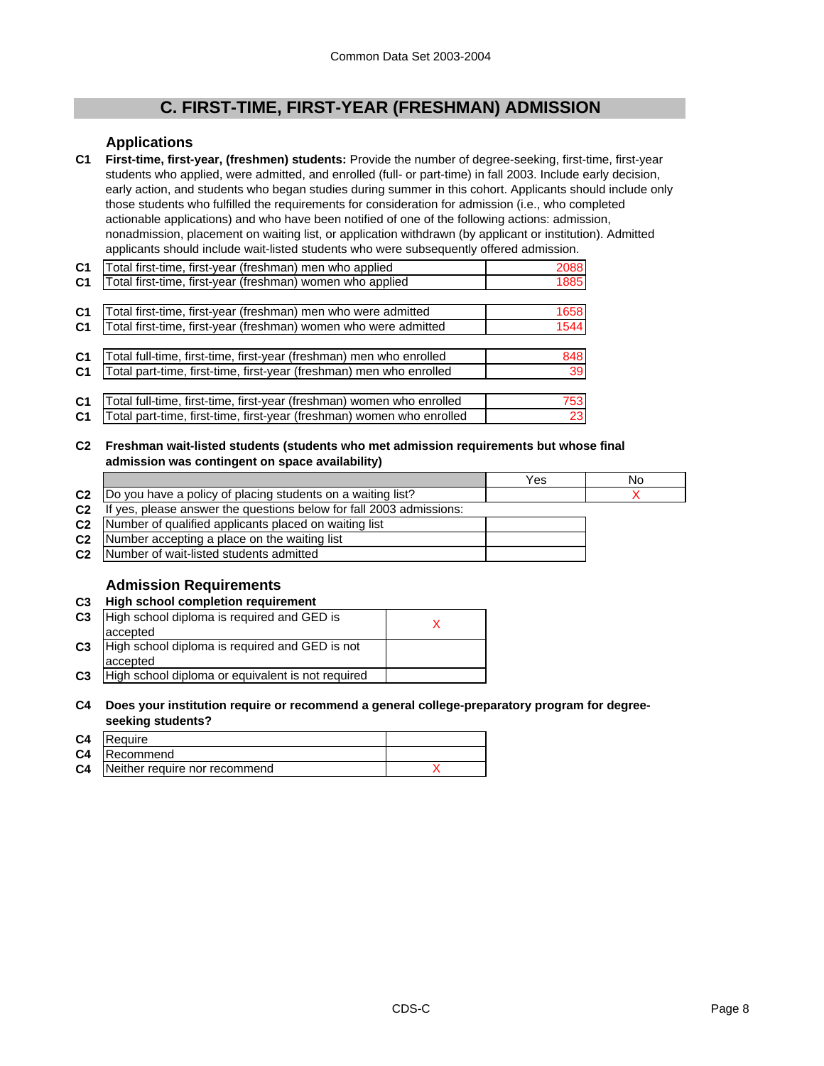# **C. FIRST-TIME, FIRST-YEAR (FRESHMAN) ADMISSION**

### **Applications**

**C1 First-time, first-year, (freshmen) students:** Provide the number of degree-seeking, first-time, first-year students who applied, were admitted, and enrolled (full- or part-time) in fall 2003. Include early decision, early action, and students who began studies during summer in this cohort. Applicants should include only those students who fulfilled the requirements for consideration for admission (i.e., who completed actionable applications) and who have been notified of one of the following actions: admission, nonadmission, placement on waiting list, or application withdrawn (by applicant or institution). Admitted applicants should include wait-listed students who were subsequently offered admission.

| C <sub>1</sub> | Total first-time, first-year (freshman) men who applied               | 2088 |
|----------------|-----------------------------------------------------------------------|------|
| C <sub>1</sub> | Total first-time, first-year (freshman) women who applied             | 1885 |
|                |                                                                       |      |
| C <sub>1</sub> | Total first-time, first-year (freshman) men who were admitted         | 1658 |
| C <sub>1</sub> | Total first-time, first-year (freshman) women who were admitted       | 1544 |
|                |                                                                       |      |
| C <sub>1</sub> | Total full-time, first-time, first-year (freshman) men who enrolled   | 848  |
| C <sub>1</sub> | Total part-time, first-time, first-year (freshman) men who enrolled   | 39   |
|                |                                                                       |      |
| C <sub>1</sub> | Total full-time, first-time, first-year (freshman) women who enrolled | 753I |

**C1** 23 Total part-time, first-time, first-year (freshman) women who enrolled

**C2 Freshman wait-listed students (students who met admission requirements but whose final admission was contingent on space availability)**

|                |                                                                     | Yes | No |
|----------------|---------------------------------------------------------------------|-----|----|
|                | C2  Do you have a policy of placing students on a waiting list?     |     |    |
| C <sub>2</sub> | If yes, please answer the questions below for fall 2003 admissions: |     |    |
|                | <b>C2</b> Number of qualified applicants placed on waiting list     |     |    |
|                | C2   Number accepting a place on the waiting list                   |     |    |
| C2             | Number of wait-listed students admitted                             |     |    |

# **Admission Requirements**

| C <sub>3</sub> | <b>High school completion requirement</b>                  |  |
|----------------|------------------------------------------------------------|--|
| C <sub>3</sub> | High school diploma is required and GED is<br>accepted     |  |
| C <sub>3</sub> | High school diploma is required and GED is not<br>accepted |  |
| C <sub>3</sub> | High school diploma or equivalent is not required          |  |

#### **C4 Does your institution require or recommend a general college-preparatory program for degreeseeking students?**

| C4 | Require                                 |  |
|----|-----------------------------------------|--|
|    | <b>C4</b> Recommend                     |  |
|    | <b>C4</b> Neither require nor recommend |  |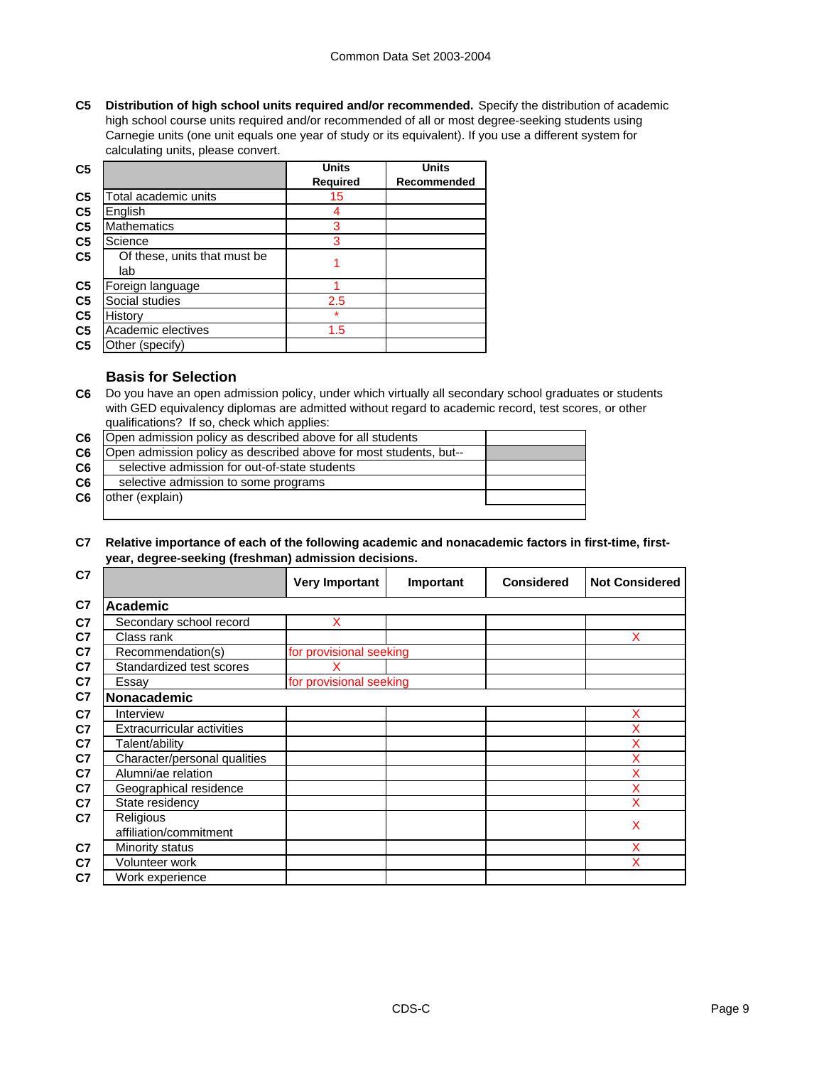**C5 Distribution of high school units required and/or recommended.** Specify the distribution of academic high school course units required and/or recommended of all or most degree-seeking students using Carnegie units (one unit equals one year of study or its equivalent). If you use a different system for calculating units, please convert.

| C <sub>5</sub> |                                     | <b>Units</b> | <b>Units</b> |
|----------------|-------------------------------------|--------------|--------------|
|                |                                     | Required     | Recommended  |
| C <sub>5</sub> | Total academic units                | 15           |              |
| C <sub>5</sub> | English                             |              |              |
| C <sub>5</sub> | <b>Mathematics</b>                  | 3            |              |
| C <sub>5</sub> | Science                             | 3            |              |
| C <sub>5</sub> | Of these, units that must be<br>lab |              |              |
| C <sub>5</sub> | Foreign language                    |              |              |
| C <sub>5</sub> | Social studies                      | 2.5          |              |
| C <sub>5</sub> | History                             | $\star$      |              |
| C <sub>5</sub> | Academic electives                  | 1.5          |              |
| C <sub>5</sub> | Other (specify)                     |              |              |

### **Basis for Selection**

**C6** Do you have an open admission policy, under which virtually all secondary school graduates or students with GED equivalency diplomas are admitted without regard to academic record, test scores, or other qualifications? If so, check which applies:

| C <sub>6</sub> | Open admission policy as described above for all students         |  |
|----------------|-------------------------------------------------------------------|--|
| C6             | Open admission policy as described above for most students, but-- |  |
| C <sub>6</sub> | selective admission for out-of-state students                     |  |
| C6             | selective admission to some programs                              |  |
| C <sub>6</sub> | other (explain)                                                   |  |
|                |                                                                   |  |

### **C7 Relative importance of each of the following academic and nonacademic factors in first-time, firstyear, degree-seeking (freshman) admission decisions.**

| C7             |                                   | <b>Very Important</b>   | Important | <b>Considered</b> | <b>Not Considered</b> |
|----------------|-----------------------------------|-------------------------|-----------|-------------------|-----------------------|
| C <sub>7</sub> | <b>Academic</b>                   |                         |           |                   |                       |
| C7             | Secondary school record           | X                       |           |                   |                       |
| C7             | Class rank                        |                         |           |                   | x                     |
| C7             | Recommendation(s)                 | for provisional seeking |           |                   |                       |
| C7             | Standardized test scores          |                         |           |                   |                       |
| C7             | Essay                             | for provisional seeking |           |                   |                       |
| C7             | Nonacademic                       |                         |           |                   |                       |
| C7             | Interview                         |                         |           |                   | X                     |
| C7             | <b>Extracurricular activities</b> |                         |           |                   | X                     |
| C7             | Talent/ability                    |                         |           |                   | x                     |
| C7             | Character/personal qualities      |                         |           |                   | X                     |
| C7             | Alumni/ae relation                |                         |           |                   | x                     |
| C7             | Geographical residence            |                         |           |                   | X                     |
| C7             | State residency                   |                         |           |                   | X                     |
| C7             | Religious                         |                         |           |                   | X                     |
|                | affiliation/commitment            |                         |           |                   |                       |
| C7             | Minority status                   |                         |           |                   | X                     |
| C7             | Volunteer work                    |                         |           |                   | X                     |
| C7             | Work experience                   |                         |           |                   |                       |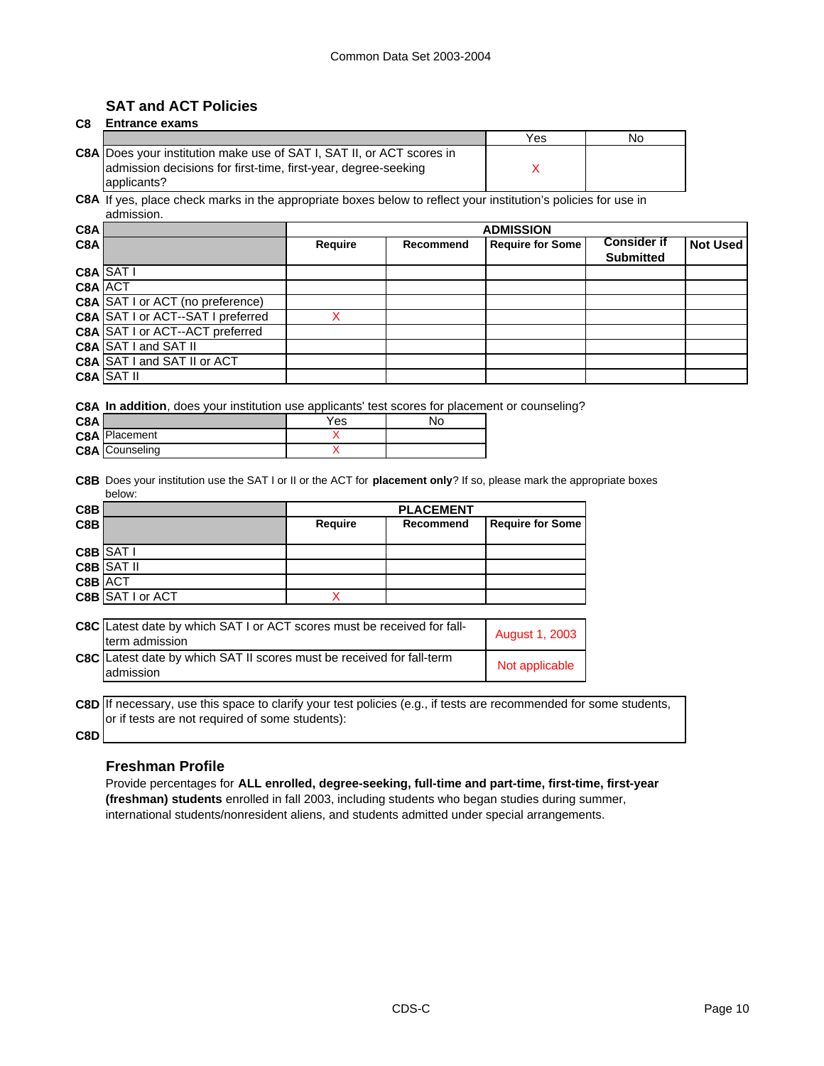# **SAT and ACT Policies**

| C8 | Entrance exams |  |
|----|----------------|--|
|    |                |  |

|                                                                              | Yes | N٥ |
|------------------------------------------------------------------------------|-----|----|
| <b>C8A Does your institution make use of SAT I, SAT II, or ACT scores in</b> |     |    |
| admission decisions for first-time, first-year, degree-seeking               |     |    |
| applicants?                                                                  |     |    |

**C8A** If yes, place check marks in the appropriate boxes below to reflect your institution's policies for use in admission.

| C8A     |                                         | <b>ADMISSION</b> |           |                         |                    |                 |
|---------|-----------------------------------------|------------------|-----------|-------------------------|--------------------|-----------------|
| C8A     |                                         | <b>Require</b>   | Recommend | <b>Require for Some</b> | <b>Consider if</b> | <b>Not Used</b> |
|         |                                         |                  |           |                         | <b>Submitted</b>   |                 |
|         | C8A SATI                                |                  |           |                         |                    |                 |
| C8A ACT |                                         |                  |           |                         |                    |                 |
|         | <b>C8A</b> SAT I or ACT (no preference) |                  |           |                         |                    |                 |
|         | C8A SAT I or ACT--SAT I preferred       |                  |           |                         |                    |                 |
|         | <b>C8A SAT I or ACT--ACT preferred</b>  |                  |           |                         |                    |                 |
|         | <b>C8A SAT I and SAT II</b>             |                  |           |                         |                    |                 |
|         | C8A SAT I and SAT II or ACT             |                  |           |                         |                    |                 |
|         | <b>C8A SAT II</b>                       |                  |           |                         |                    |                 |

**C8A In addition**, does your institution use applicants' test scores for placement or counseling?

| C8A |                       | Yes | Nc |
|-----|-----------------------|-----|----|
|     | <b>C8A</b> Placement  |     |    |
|     | <b>C8A</b> Counseling |     |    |

**C8B** Does your institution use the SAT I or II or the ACT for **placement only**? If so, please mark the appropriate boxes below:

| C8B     |                         | <b>PLACEMENT</b> |           |                         |
|---------|-------------------------|------------------|-----------|-------------------------|
| C8B     |                         | Require          | Recommend | <b>Require for Some</b> |
|         |                         |                  |           |                         |
|         | C8B SAT I               |                  |           |                         |
|         | <b>C8B</b> SAT II       |                  |           |                         |
| C8B ACT |                         |                  |           |                         |
|         | <b>C8B</b> SAT I or ACT |                  |           |                         |

| C8C Latest date by which SAT I or ACT scores must be received for fall-<br>term admission | August 1, 2003 |
|-------------------------------------------------------------------------------------------|----------------|
| C8C Latest date by which SAT II scores must be received for fall-term<br>admission        | Not applicable |

**C8D** If necessary, use this space to clarify your test policies (e.g., if tests are recommended for some students, or if tests are not required of some students):

**C8D**

### **Freshman Profile**

Provide percentages for **ALL enrolled, degree-seeking, full-time and part-time, first-time, first-year (freshman) students** enrolled in fall 2003, including students who began studies during summer, international students/nonresident aliens, and students admitted under special arrangements.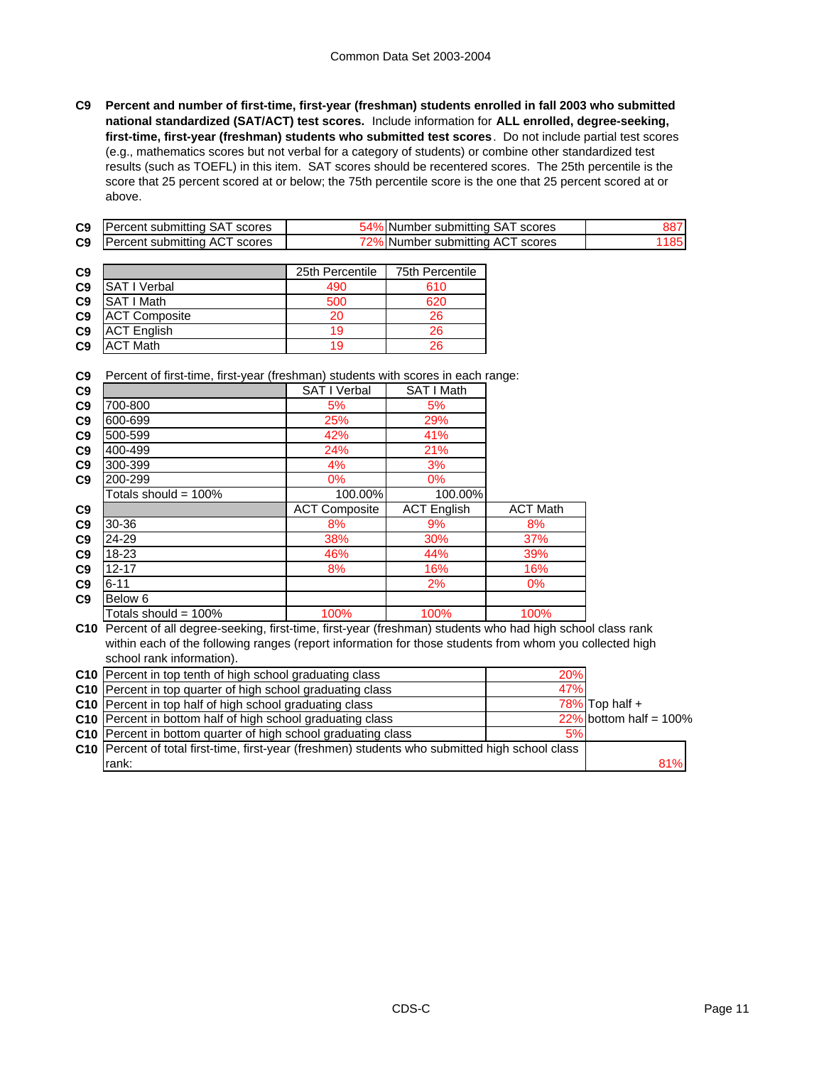**C9 Percent and number of first-time, first-year (freshman) students enrolled in fall 2003 who submitted national standardized (SAT/ACT) test scores.** Include information for **ALL enrolled, degree-seeking, first-time, first-year (freshman) students who submitted test scores**. Do not include partial test scores (e.g., mathematics scores but not verbal for a category of students) or combine other standardized test results (such as TOEFL) in this item. SAT scores should be recentered scores. The 25th percentile is the score that 25 percent scored at or below; the 75th percentile score is the one that 25 percent scored at or above.

| C9 | Percent submitting SAT scores        | 54% Number submitting SAT scores | 887  |
|----|--------------------------------------|----------------------------------|------|
| C9 | <b>Percent submitting ACT scores</b> | 72% Number submitting ACT scores | 1851 |

| C <sub>9</sub> |                      | 25th Percentile | 75th Percentile |
|----------------|----------------------|-----------------|-----------------|
| C <sub>9</sub> | <b>SAT I Verbal</b>  | 490             | 610             |
| C <sub>9</sub> | <b>SAT I Math</b>    | 500             | 620             |
| C <sub>9</sub> | <b>ACT Composite</b> | 20              | 26              |
| C <sub>9</sub> | <b>ACT English</b>   | 19              | 26              |
| C <sub>9</sub> | <b>ACT Math</b>      | 19              | 26              |

**C9** Percent of first-time, first-year (freshman) students with scores in each range:

| C9             |                      | <b>SAT I Verbal</b>  | SAT I Math         |                 |
|----------------|----------------------|----------------------|--------------------|-----------------|
| C <sub>9</sub> | 700-800              | 5%                   | 5%                 |                 |
| C9             | 600-699              | 25%                  | 29%                |                 |
| C9             | 500-599              | 42%                  | 41%                |                 |
| C9             | 400-499              | 24%                  | 21%                |                 |
| C9             | 300-399              | 4%                   | 3%                 |                 |
| C <sub>9</sub> | 200-299              | $0\%$                | $0\%$              |                 |
|                | Totals should = 100% | 100.00%              | 100.00%            |                 |
|                |                      |                      |                    |                 |
| C <sub>9</sub> |                      | <b>ACT Composite</b> | <b>ACT English</b> | <b>ACT Math</b> |
| C9             | 30-36                | 8%                   | 9%                 | 8%              |
| C9             | 24-29                | 38%                  | 30%                | 37%             |
| C <sub>9</sub> | 18-23                | 46%                  | 44%                | 39%             |
| C9             | $12 - 17$            | 8%                   | 16%                | 16%             |
| C9             | $6 - 11$             |                      | 2%                 | $0\%$           |
| C <sub>9</sub> | Below 6              |                      |                    |                 |

**C10** Percent of all degree-seeking, first-time, first-year (freshman) students who had high school class rank within each of the following ranges (report information for those students from whom you collected high school rank information).

| C10 Percent in top tenth of high school graduating class                                          | 20% |                           |  |
|---------------------------------------------------------------------------------------------------|-----|---------------------------|--|
| C10 Percent in top quarter of high school graduating class                                        | 47% |                           |  |
| <b>C10</b> Percent in top half of high school graduating class                                    |     | $78\%$ Top half +         |  |
| <b>C10</b> Percent in bottom half of high school graduating class                                 |     | $22\%$ bottom half = 100% |  |
| C10 Percent in bottom quarter of high school graduating class                                     | 5%  |                           |  |
| C10   Percent of total first-time, first-year (freshmen) students who submitted high school class |     |                           |  |
| rank:                                                                                             |     | 81%                       |  |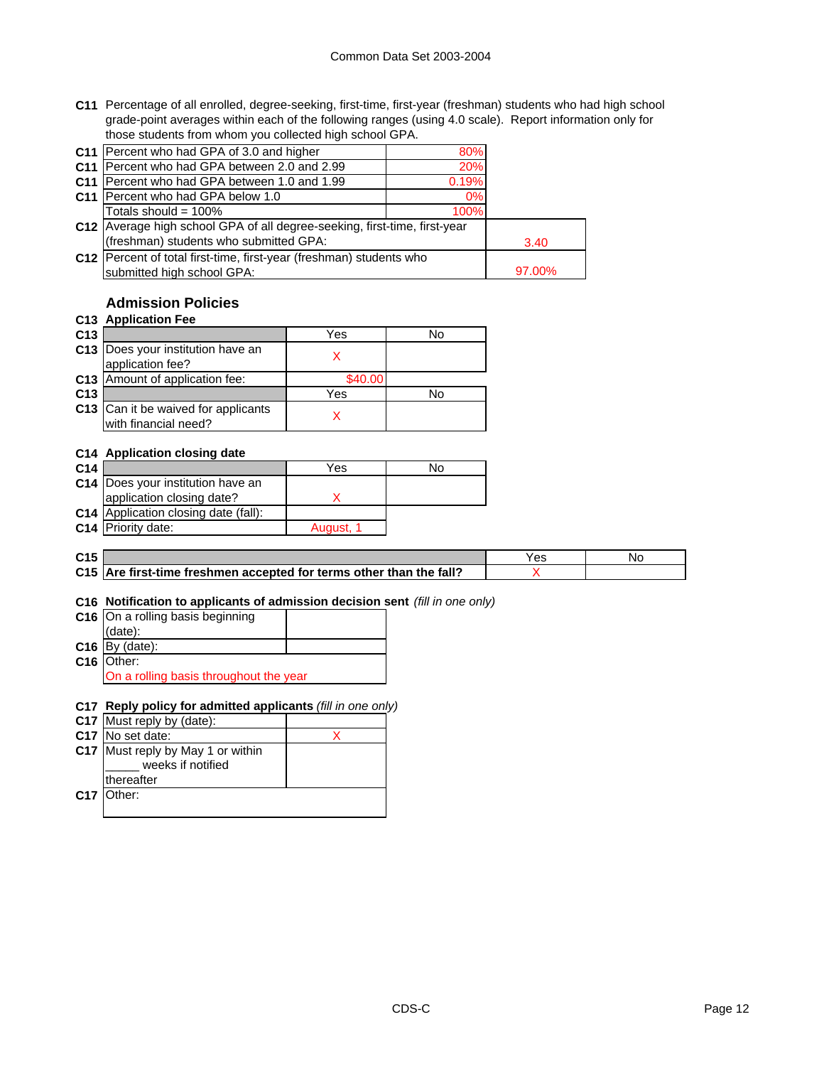**C11** Percentage of all enrolled, degree-seeking, first-time, first-year (freshman) students who had high school grade-point averages within each of the following ranges (using 4.0 scale). Report information only for those students from whom you collected high school GPA.

| C11 Percent who had GPA of 3.0 and higher                                   | 80%   |        |
|-----------------------------------------------------------------------------|-------|--------|
| C11 Percent who had GPA between 2.0 and 2.99                                | 20%   |        |
| C11   Percent who had GPA between 1.0 and 1.99                              | 0.19% |        |
| C11 Percent who had GPA below 1.0                                           | 0%    |        |
| Totals should = 100%                                                        | 100%  |        |
| C12   Average high school GPA of all degree-seeking, first-time, first-year |       |        |
| (freshman) students who submitted GPA:                                      |       | 3.40   |
| C12 Percent of total first-time, first-year (freshman) students who         |       |        |
| submitted high school GPA:                                                  |       | 97.00% |

# **Admission Policies**

### **C13 Application Fee**

| C <sub>13</sub> |                                                             | Yes     | No |
|-----------------|-------------------------------------------------------------|---------|----|
|                 | C13 Does your institution have an<br>application fee?       |         |    |
|                 | C13 Amount of application fee:                              | \$40.00 |    |
| C <sub>13</sub> |                                                             | Yes     | N٥ |
|                 | C13 Can it be waived for applicants<br>with financial need? |         |    |

### **C14 Application closing date**

| C <sub>14</sub> |                                      | Yes       | No |
|-----------------|--------------------------------------|-----------|----|
|                 | C14   Does your institution have an  |           |    |
|                 | application closing date?            |           |    |
|                 | C14 Application closing date (fall): |           |    |
|                 | C14 Priority date:                   | August, 1 |    |
|                 |                                      |           |    |

| C <sub>15</sub> |                                                                     | Yes | Νc |
|-----------------|---------------------------------------------------------------------|-----|----|
|                 | C15 Are first-time freshmen accepted for terms other than the fall? |     |    |

### **C16 Notification to applicants of admission decision sent** *(fill in one only)*

| $C16$ On a rolling basis beginning     |  |  |
|----------------------------------------|--|--|
| $(data)$ :                             |  |  |
| $C16$ By (date):                       |  |  |
| C16 Other:                             |  |  |
| On a rolling basis throughout the year |  |  |

### **C17 Reply policy for admitted applicants** *(fill in one only)*

| C17 Must reply by (date):                              |  |
|--------------------------------------------------------|--|
| C17 No set date:                                       |  |
| C17 Must reply by May 1 or within<br>weeks if notified |  |
| thereafter                                             |  |
| C17 Other:                                             |  |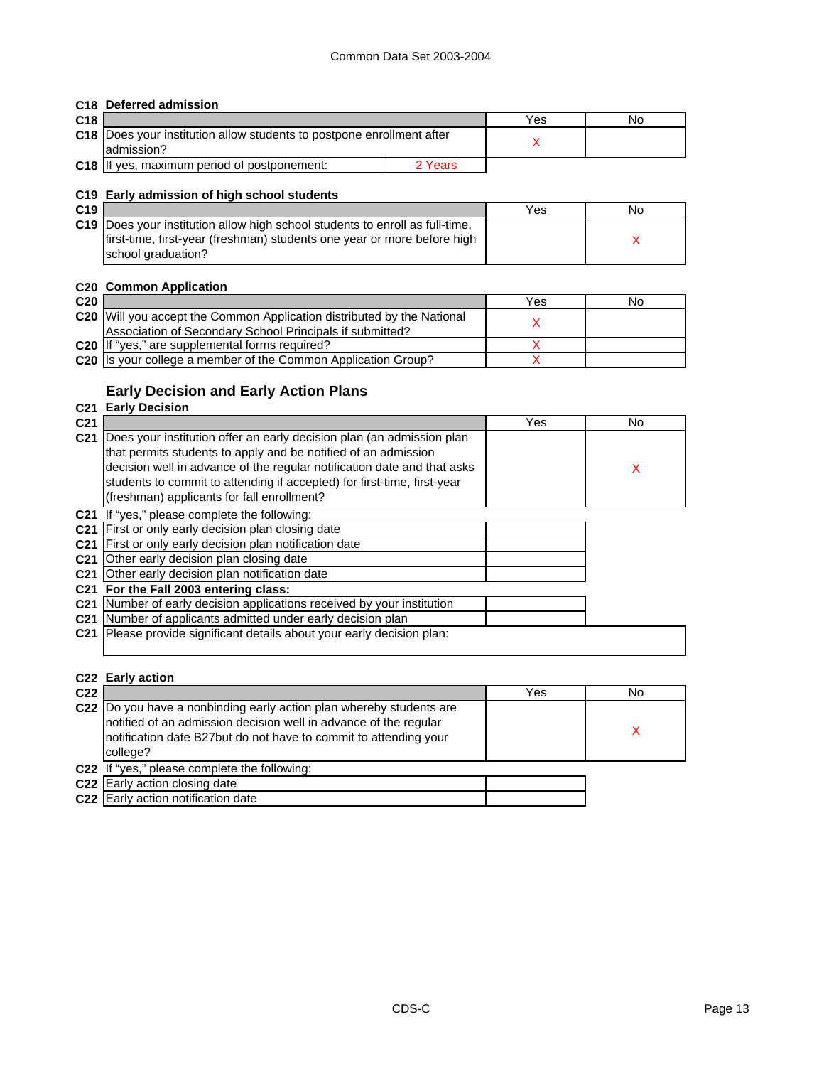### **C18 Deferred admission**

| C <sub>18</sub> |                                                                              |         | Yes | No |
|-----------------|------------------------------------------------------------------------------|---------|-----|----|
|                 | <b>C18</b> Does your institution allow students to postpone enrollment after |         |     |    |
|                 | ladmission?                                                                  |         |     |    |
|                 | C18 IIf yes, maximum period of postponement:                                 | 2 Years |     |    |

### **C19 Early admission of high school students**

| C <sub>19</sub> |                                                                                     | Yes | No |
|-----------------|-------------------------------------------------------------------------------------|-----|----|
|                 | <b>C19</b> Does your institution allow high school students to enroll as full-time, |     |    |
|                 | first-time, first-year (freshman) students one year or more before high             |     |    |
|                 | school graduation?                                                                  |     |    |

### **C20 Common Application**

| C <sub>20</sub> |                                                                        | Yes | No |
|-----------------|------------------------------------------------------------------------|-----|----|
|                 | C20 Will you accept the Common Application distributed by the National |     |    |
|                 | Association of Secondary School Principals if submitted?               |     |    |
|                 | C20 If "yes," are supplemental forms required?                         |     |    |
|                 | C20 Is your college a member of the Common Application Group?          |     |    |
|                 |                                                                        |     |    |

# **Early Decision and Early Action Plans**

# **C21 Early Decision**

| C <sub>21</sub> |                                                                                                                                                                                                                                                                                                                                             | Yes | No |
|-----------------|---------------------------------------------------------------------------------------------------------------------------------------------------------------------------------------------------------------------------------------------------------------------------------------------------------------------------------------------|-----|----|
| C <sub>21</sub> | Does your institution offer an early decision plan (an admission plan<br>that permits students to apply and be notified of an admission<br>decision well in advance of the regular notification date and that asks<br>students to commit to attending if accepted) for first-time, first-year<br>(freshman) applicants for fall enrollment? |     | X  |
|                 | <b>C21</b> If "yes," please complete the following:                                                                                                                                                                                                                                                                                         |     |    |
| C <sub>21</sub> | First or only early decision plan closing date                                                                                                                                                                                                                                                                                              |     |    |
|                 | C21 First or only early decision plan notification date                                                                                                                                                                                                                                                                                     |     |    |
|                 | C21 Other early decision plan closing date                                                                                                                                                                                                                                                                                                  |     |    |
|                 | C21 Other early decision plan notification date                                                                                                                                                                                                                                                                                             |     |    |
|                 | C21 For the Fall 2003 entering class:                                                                                                                                                                                                                                                                                                       |     |    |
|                 | C21 Number of early decision applications received by your institution                                                                                                                                                                                                                                                                      |     |    |
|                 | C21 Number of applicants admitted under early decision plan                                                                                                                                                                                                                                                                                 |     |    |
| C <sub>21</sub> | Please provide significant details about your early decision plan:                                                                                                                                                                                                                                                                          |     |    |
|                 |                                                                                                                                                                                                                                                                                                                                             |     |    |

### **C22 Early action**

| C <sub>22</sub> |                                                                                                                                                                                                                         | Yes | No |
|-----------------|-------------------------------------------------------------------------------------------------------------------------------------------------------------------------------------------------------------------------|-----|----|
|                 | C22 Do you have a nonbinding early action plan whereby students are<br>notified of an admission decision well in advance of the regular<br>notification date B27but do not have to commit to attending your<br>college? |     |    |
|                 | C22 If "yes," please complete the following:                                                                                                                                                                            |     |    |
|                 | C22 Early action closing date                                                                                                                                                                                           |     |    |
|                 | C22 Early action notification date                                                                                                                                                                                      |     |    |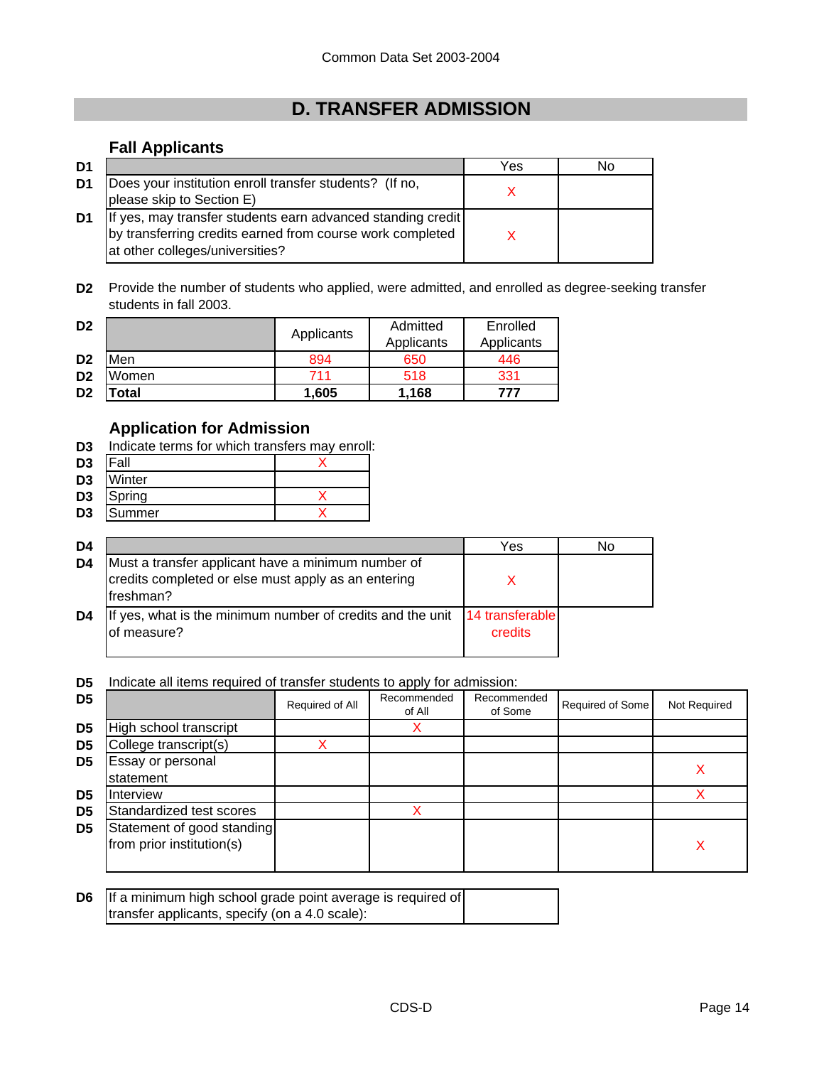# **D. TRANSFER ADMISSION**

# **Fall Applicants**

| D <sub>1</sub> |                                                                                                                                                             | Yes | No |
|----------------|-------------------------------------------------------------------------------------------------------------------------------------------------------------|-----|----|
| D1             | Does your institution enroll transfer students? (If no,<br>please skip to Section E)                                                                        |     |    |
| D1             | If yes, may transfer students earn advanced standing credit<br>by transferring credits earned from course work completed<br>at other colleges/universities? |     |    |

**D2** Provide the number of students who applied, were admitted, and enrolled as degree-seeking transfer students in fall 2003.

| D <sub>2</sub> |       | Applicants | Admitted   | Enrolled   |  |
|----------------|-------|------------|------------|------------|--|
|                |       |            | Applicants | Applicants |  |
| D <sub>2</sub> | Men   | 894        | 650        | 446        |  |
| D <sub>2</sub> | Women | 711        | 518        | 331        |  |
| D <sub>2</sub> | 'otal | 1.605      | 1.168      | 777        |  |

# **Application for Admission**

- **D3** Indicate terms for which transfers may enroll:
- **D3** Fall X
- **D3** Winter
- **D3** Spring X
- **D3** Summer X

| D4 |                                                                                                                         | Yes                        | No |
|----|-------------------------------------------------------------------------------------------------------------------------|----------------------------|----|
| D4 | Must a transfer applicant have a minimum number of<br>credits completed or else must apply as an entering<br>Ifreshman? |                            |    |
| D4 | If yes, what is the minimum number of credits and the unit<br>of measure?                                               | 14 transferable<br>credits |    |

**D5** Indicate all items required of transfer students to apply for admission:

| D <sub>5</sub> |                                                         | Required of All | Recommended<br>of All | Recommended<br>of Some | Required of Some | Not Required |
|----------------|---------------------------------------------------------|-----------------|-----------------------|------------------------|------------------|--------------|
| D <sub>5</sub> | High school transcript                                  |                 |                       |                        |                  |              |
| D <sub>5</sub> | College transcript(s)                                   |                 |                       |                        |                  |              |
| D <sub>5</sub> | Essay or personal<br>statement                          |                 |                       |                        |                  |              |
| D <sub>5</sub> | Interview                                               |                 |                       |                        |                  |              |
| D <sub>5</sub> | Standardized test scores                                |                 |                       |                        |                  |              |
| D <sub>5</sub> | Statement of good standing<br>from prior institution(s) |                 |                       |                        |                  |              |

| <b>D6</b> If a minimum high school grade point average is required of |  |
|-----------------------------------------------------------------------|--|
| transfer applicants, specify (on a 4.0 scale):                        |  |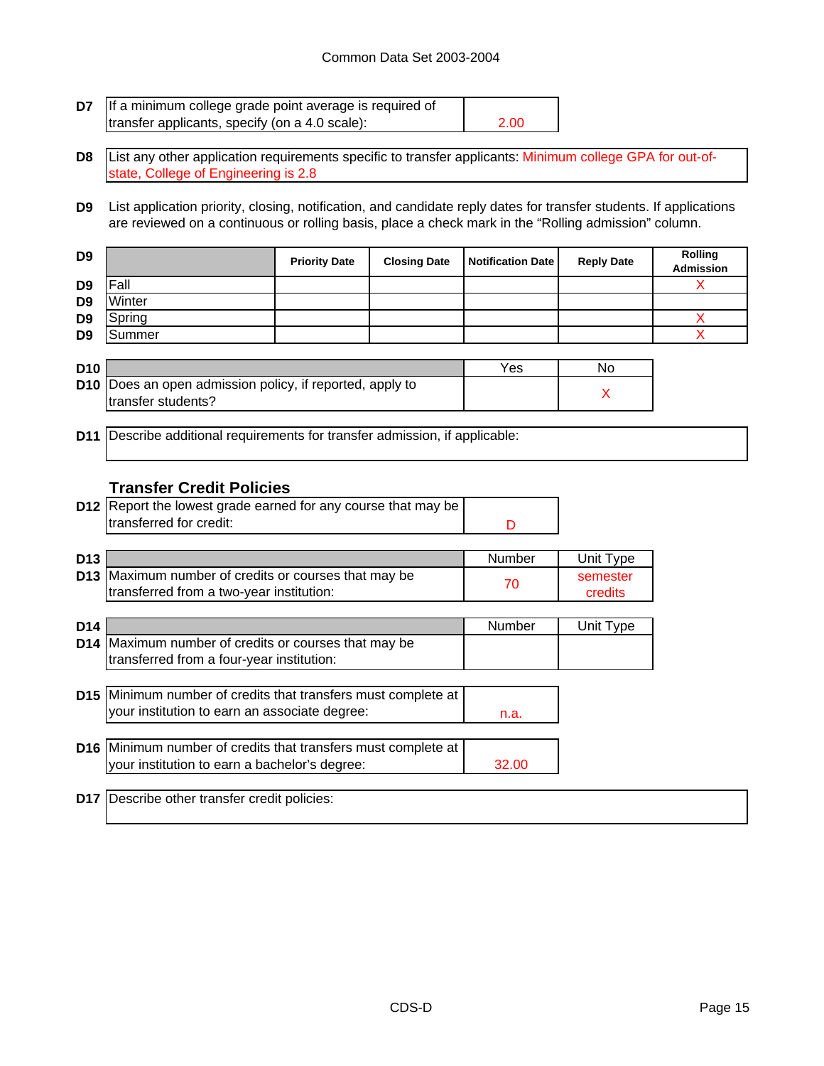| D7              | If a minimum college grade point average is required of                                                                                                                                                                    |                      |                     |                          |                   |                             |  |
|-----------------|----------------------------------------------------------------------------------------------------------------------------------------------------------------------------------------------------------------------------|----------------------|---------------------|--------------------------|-------------------|-----------------------------|--|
|                 | transfer applicants, specify (on a 4.0 scale):                                                                                                                                                                             |                      |                     | 2.00                     |                   |                             |  |
| D <sub>8</sub>  | List any other application requirements specific to transfer applicants: Minimum college GPA for out-of-<br>state, College of Engineering is 2.8                                                                           |                      |                     |                          |                   |                             |  |
| D <sub>9</sub>  | List application priority, closing, notification, and candidate reply dates for transfer students. If applications<br>are reviewed on a continuous or rolling basis, place a check mark in the "Rolling admission" column. |                      |                     |                          |                   |                             |  |
| D <sub>9</sub>  |                                                                                                                                                                                                                            | <b>Priority Date</b> | <b>Closing Date</b> | <b>Notification Date</b> | <b>Reply Date</b> | Rolling<br><b>Admission</b> |  |
| D <sub>9</sub>  | Fall                                                                                                                                                                                                                       |                      |                     |                          |                   | X                           |  |
| D <sub>9</sub>  | Winter                                                                                                                                                                                                                     |                      |                     |                          |                   |                             |  |
| D9              | Spring                                                                                                                                                                                                                     |                      |                     |                          |                   | Χ<br>X                      |  |
| D9              | Summer                                                                                                                                                                                                                     |                      |                     |                          |                   |                             |  |
| <b>D10</b>      |                                                                                                                                                                                                                            |                      |                     | Yes                      | No                |                             |  |
|                 | D10 Does an open admission policy, if reported, apply to                                                                                                                                                                   |                      |                     |                          | X                 |                             |  |
|                 | transfer students?                                                                                                                                                                                                         |                      |                     |                          |                   |                             |  |
| D11             | Describe additional requirements for transfer admission, if applicable:                                                                                                                                                    |                      |                     |                          |                   |                             |  |
|                 |                                                                                                                                                                                                                            |                      |                     |                          |                   |                             |  |
|                 |                                                                                                                                                                                                                            |                      |                     |                          |                   |                             |  |
|                 | <b>Transfer Credit Policies</b>                                                                                                                                                                                            |                      |                     |                          |                   |                             |  |
|                 | D12 Report the lowest grade earned for any course that may be<br>transferred for credit:                                                                                                                                   |                      |                     |                          |                   |                             |  |
|                 |                                                                                                                                                                                                                            |                      |                     | D                        |                   |                             |  |
| D <sub>13</sub> |                                                                                                                                                                                                                            |                      |                     | Number                   | Unit Type         |                             |  |
|                 | D13 Maximum number of credits or courses that may be                                                                                                                                                                       |                      |                     |                          | semester          |                             |  |
|                 | transferred from a two-year institution:                                                                                                                                                                                   |                      |                     | 70                       | credits           |                             |  |
|                 |                                                                                                                                                                                                                            |                      |                     |                          |                   |                             |  |
| D <sub>14</sub> | D14 Maximum number of credits or courses that may be                                                                                                                                                                       |                      |                     | Number                   | Unit Type         |                             |  |
|                 | transferred from a four-year institution:                                                                                                                                                                                  |                      |                     |                          |                   |                             |  |
|                 |                                                                                                                                                                                                                            |                      |                     |                          |                   |                             |  |
|                 | D15 Minimum number of credits that transfers must complete at                                                                                                                                                              |                      |                     |                          |                   |                             |  |
|                 | your institution to earn an associate degree:                                                                                                                                                                              |                      |                     | n.a.                     |                   |                             |  |
|                 | D16 Minimum number of credits that transfers must complete at                                                                                                                                                              |                      |                     |                          |                   |                             |  |
|                 | your institution to earn a bachelor's degree:                                                                                                                                                                              |                      |                     | 32.00                    |                   |                             |  |
|                 |                                                                                                                                                                                                                            |                      |                     |                          |                   |                             |  |
| <b>D17</b>      | Describe other transfer credit policies:                                                                                                                                                                                   |                      |                     |                          |                   |                             |  |
|                 |                                                                                                                                                                                                                            |                      |                     |                          |                   |                             |  |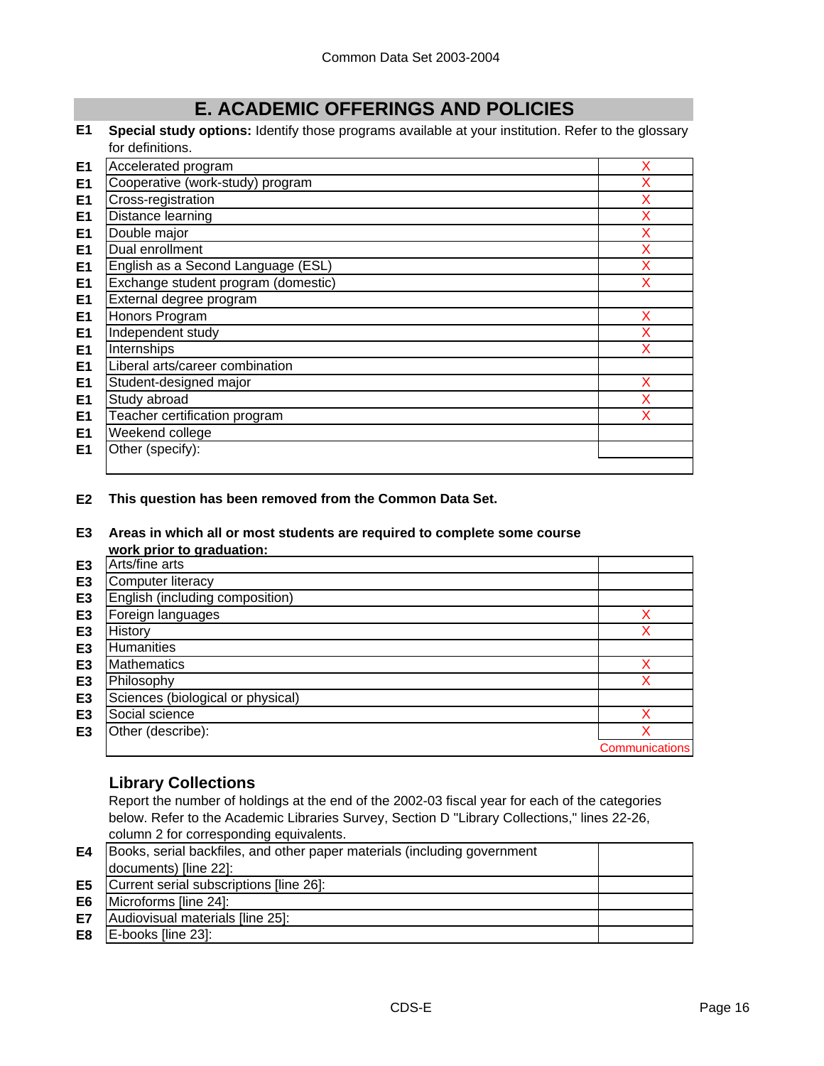# **E. ACADEMIC OFFERINGS AND POLICIES**

**E1 Special study options:** Identify those programs available at your institution. Refer to the glossary for definitions.

| E <sub>1</sub> | Accelerated program                 | X |
|----------------|-------------------------------------|---|
| E <sub>1</sub> | Cooperative (work-study) program    | X |
| E <sub>1</sub> | Cross-registration                  | X |
| E <sub>1</sub> | Distance learning                   | х |
| E <sub>1</sub> | Double major                        | X |
| E <sub>1</sub> | Dual enrollment                     | X |
| E <sub>1</sub> | English as a Second Language (ESL)  | X |
| E <sub>1</sub> | Exchange student program (domestic) | X |
| E <sub>1</sub> | External degree program             |   |
| E <sub>1</sub> | Honors Program                      | X |
| E1             | Independent study                   | X |
| E <sub>1</sub> | Internships                         | X |
| E <sub>1</sub> | Liberal arts/career combination     |   |
| E <sub>1</sub> | Student-designed major              | x |
| E <sub>1</sub> | Study abroad                        | X |
| E <sub>1</sub> | Teacher certification program       |   |
| E <sub>1</sub> | Weekend college                     |   |
| E <sub>1</sub> | Other (specify):                    |   |
|                |                                     |   |

**E2 This question has been removed from the Common Data Set.**

#### **E3 Areas in which all or most students are required to complete some course work prior to graduation:**

|                | wurk privi tu yrauuatium.         |                       |
|----------------|-----------------------------------|-----------------------|
| E <sub>3</sub> | Arts/fine arts                    |                       |
| E <sub>3</sub> | <b>Computer literacy</b>          |                       |
| E <sub>3</sub> | English (including composition)   |                       |
| E <sub>3</sub> | Foreign languages                 |                       |
| E <sub>3</sub> | History                           |                       |
| E <sub>3</sub> | <b>Humanities</b>                 |                       |
| E <sub>3</sub> | <b>Mathematics</b>                |                       |
| E <sub>3</sub> | Philosophy                        |                       |
| E <sub>3</sub> | Sciences (biological or physical) |                       |
| E <sub>3</sub> | Social science                    |                       |
| E <sub>3</sub> | Other (describe):                 |                       |
|                |                                   | <b>Communications</b> |

# **Library Collections**

Report the number of holdings at the end of the 2002-03 fiscal year for each of the categories below. Refer to the Academic Libraries Survey, Section D "Library Collections," lines 22-26, column 2 for corresponding equivalents.

| E4             | Books, serial backfiles, and other paper materials (including government |  |
|----------------|--------------------------------------------------------------------------|--|
|                | documents) [line 22]:                                                    |  |
| E <sub>5</sub> | Current serial subscriptions [line 26]:                                  |  |
| E <sub>6</sub> | Microforms [line 24]:                                                    |  |
| E7             | Audiovisual materials [line 25]:                                         |  |
| E8             | E-books [line 23]:                                                       |  |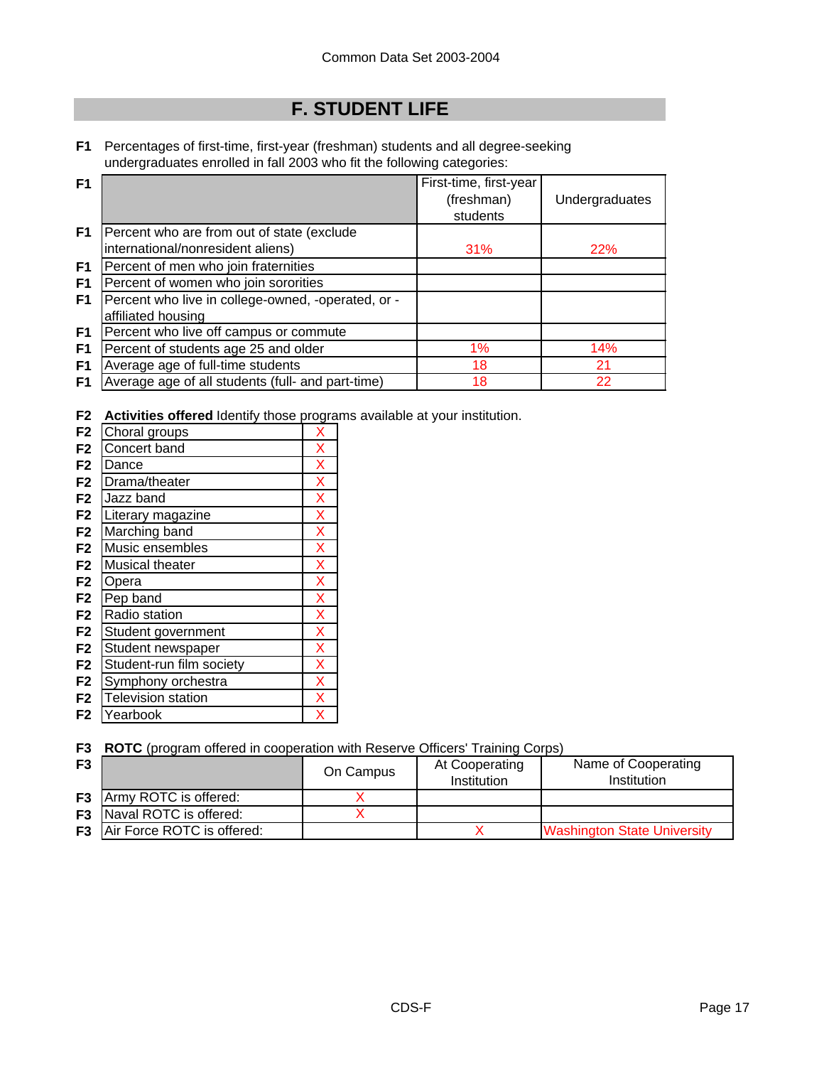# **F. STUDENT LIFE**

**F1** Percentages of first-time, first-year (freshman) students and all degree-seeking undergraduates enrolled in fall 2003 who fit the following categories:

| F1             |                                                    | First-time, first-year |                |
|----------------|----------------------------------------------------|------------------------|----------------|
|                |                                                    | (freshman)             | Undergraduates |
|                |                                                    | students               |                |
| F1             | Percent who are from out of state (exclude         |                        |                |
|                | international/nonresident aliens)                  | 31%                    | 22%            |
| F1             | Percent of men who join fraternities               |                        |                |
| F <sub>1</sub> | Percent of women who join sororities               |                        |                |
| F1             | Percent who live in college-owned, -operated, or - |                        |                |
|                | affiliated housing                                 |                        |                |
| F1             | Percent who live off campus or commute             |                        |                |
| F1             | Percent of students age 25 and older               | 1%                     | 14%            |
| F <sub>1</sub> | Average age of full-time students                  | 18                     | 21             |
| F1             | Average age of all students (full- and part-time)  | 18                     | 22             |

**F2 Activities offered** Identify those programs available at your institution.

| F <sub>2</sub> | Choral groups            | X |
|----------------|--------------------------|---|
| F <sub>2</sub> | Concert band             | X |
| F <sub>2</sub> | Dance                    | X |
| F <sub>2</sub> | Drama/theater            | X |
| F <sub>2</sub> | Jazz band                | X |
| F <sub>2</sub> | Literary magazine        | X |
| F <sub>2</sub> | Marching band            | X |
| F <sub>2</sub> | Music ensembles          | X |
| F <sub>2</sub> | Musical theater          | X |
| F <sub>2</sub> | Opera                    | X |
| F <sub>2</sub> | Pep band                 | X |
| F <sub>2</sub> | Radio station            | X |
| F <sub>2</sub> | Student government       | X |
| F <sub>2</sub> | Student newspaper        | X |
| F <sub>2</sub> | Student-run film society | X |
| F <sub>2</sub> | Symphony orchestra       | X |
| F <sub>2</sub> | Television station       | X |
| F <sub>2</sub> | Yearbook                 | x |
|                |                          |   |

**F3 ROTC** (program offered in cooperation with Reserve Officers' Training Corps)

| F3 |                                      | On Campus | At Cooperating<br>Institution | Name of Cooperating<br>Institution |
|----|--------------------------------------|-----------|-------------------------------|------------------------------------|
|    | <b>F3</b> Army ROTC is offered:      |           |                               |                                    |
|    | <b>F3</b> Naval ROTC is offered:     |           |                               |                                    |
|    | <b>F3</b> Air Force ROTC is offered: |           |                               | <b>Washington State University</b> |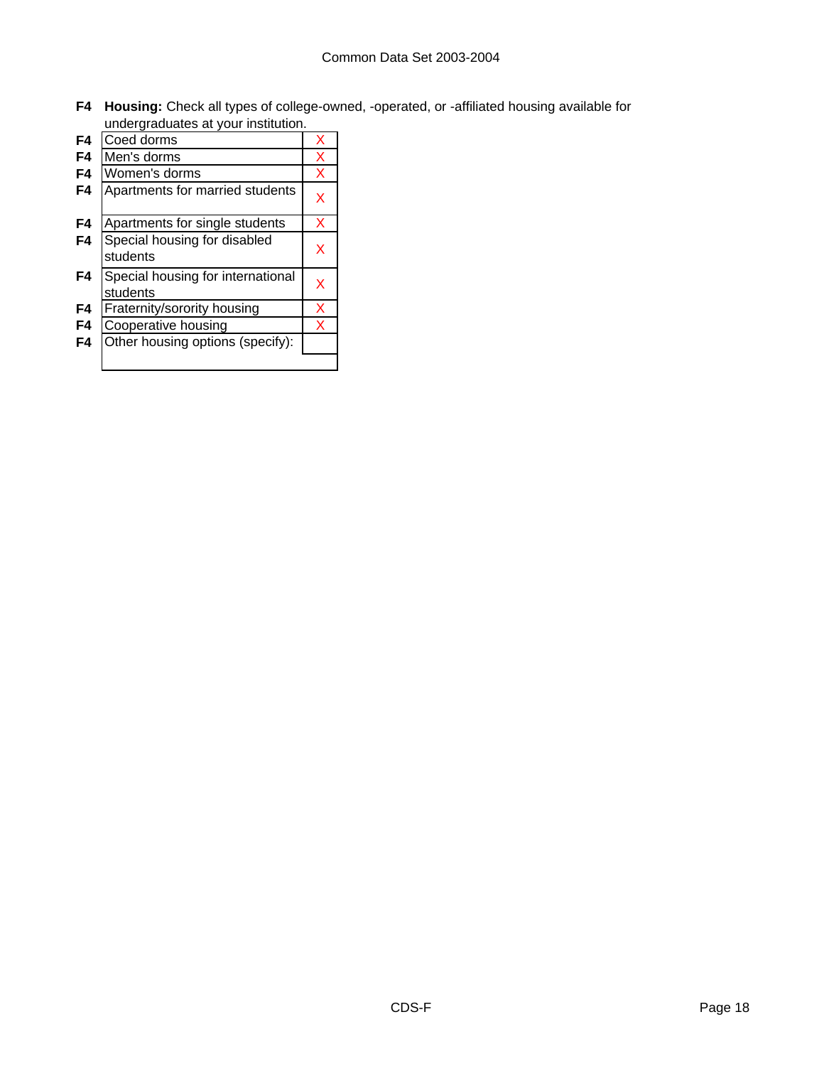**F4 Housing:** Check all types of college-owned, -operated, or -affiliated housing available for undergraduates at your institution.

|    | ao.g.aaaa.oo a. ,oa.                          |   |
|----|-----------------------------------------------|---|
| F4 | Coed dorms                                    | x |
| F4 | Men's dorms                                   | X |
| F4 | Women's dorms                                 | X |
| F4 | Apartments for married students               | x |
| F4 | Apartments for single students                | X |
| F4 | Special housing for disabled<br>students      | x |
| F4 | Special housing for international<br>students | x |
| F4 | Fraternity/sorority housing                   | X |
| F4 | Cooperative housing                           | X |
| F4 | Other housing options (specify):              |   |
|    |                                               |   |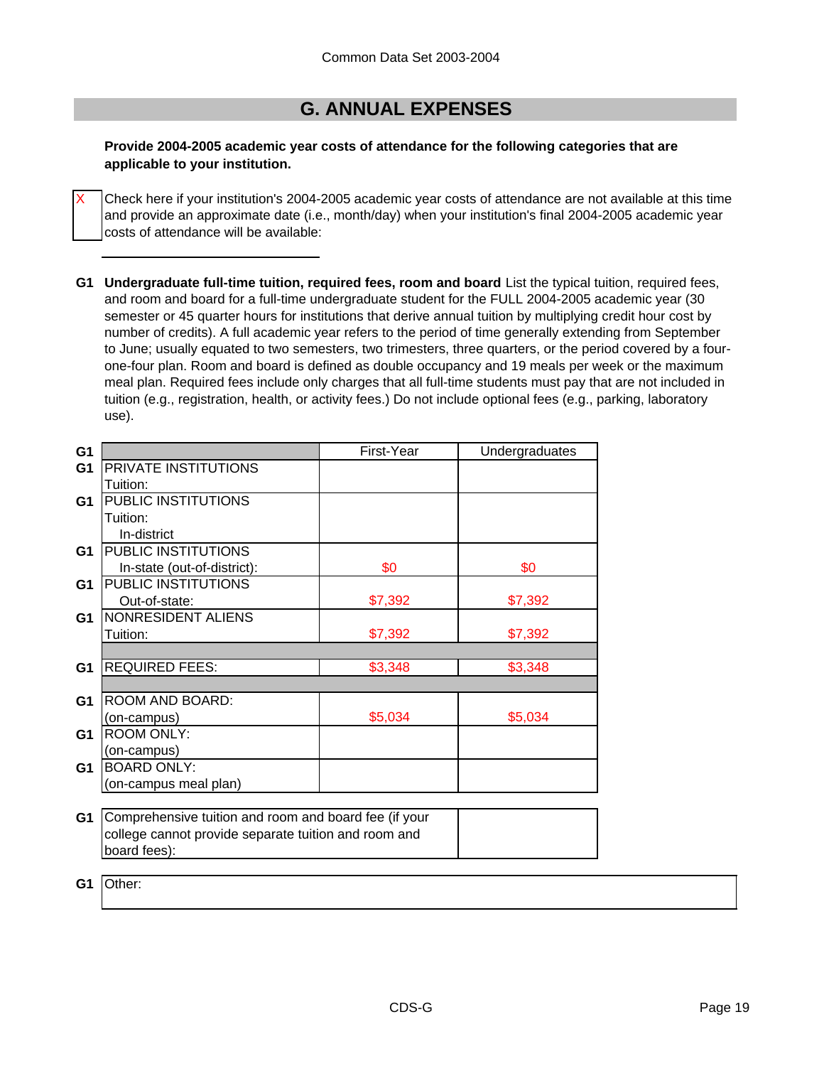# **G. ANNUAL EXPENSES**

### **Provide 2004-2005 academic year costs of attendance for the following categories that are applicable to your institution.**

Check here if your institution's 2004-2005 academic year costs of attendance are not available at this time and provide an approximate date (i.e., month/day) when your institution's final 2004-2005 academic year costs of attendance will be available:

**G1 Undergraduate full-time tuition, required fees, room and board** List the typical tuition, required fees, and room and board for a full-time undergraduate student for the FULL 2004-2005 academic year (30 semester or 45 quarter hours for institutions that derive annual tuition by multiplying credit hour cost by number of credits). A full academic year refers to the period of time generally extending from September to June; usually equated to two semesters, two trimesters, three quarters, or the period covered by a fourone-four plan. Room and board is defined as double occupancy and 19 meals per week or the maximum meal plan. Required fees include only charges that all full-time students must pay that are not included in tuition (e.g., registration, health, or activity fees.) Do not include optional fees (e.g., parking, laboratory use).

| G <sub>1</sub> |                                                       | First-Year | Undergraduates |
|----------------|-------------------------------------------------------|------------|----------------|
| G <sub>1</sub> | PRIVATE INSTITUTIONS                                  |            |                |
|                | Tuition:                                              |            |                |
| G <sub>1</sub> | PUBLIC INSTITUTIONS                                   |            |                |
|                | Tuition:                                              |            |                |
|                | In-district                                           |            |                |
| G <sub>1</sub> | PUBLIC INSTITUTIONS                                   |            |                |
|                | In-state (out-of-district):                           | \$0        | \$0            |
| G <sub>1</sub> | PUBLIC INSTITUTIONS                                   |            |                |
|                | Out-of-state:                                         | \$7,392    | \$7,392        |
| G <sub>1</sub> | NONRESIDENT ALIENS                                    |            |                |
|                | Tuition:                                              | \$7,392    | \$7,392        |
|                |                                                       |            |                |
| G <sub>1</sub> | <b>REQUIRED FEES:</b>                                 | \$3,348    | \$3,348        |
|                |                                                       |            |                |
| G <sub>1</sub> | ROOM AND BOARD:                                       |            |                |
|                | (on-campus)                                           | \$5,034    | \$5,034        |
| G <sub>1</sub> | <b>ROOM ONLY:</b>                                     |            |                |
|                | (on-campus)                                           |            |                |
| G <sub>1</sub> | <b>BOARD ONLY:</b>                                    |            |                |
|                | (on-campus meal plan)                                 |            |                |
|                |                                                       |            |                |
| G1             | Comprehensive tuition and room and board fee (if your |            |                |
|                | college cannot provide separate tuition and room and  |            |                |
|                | board fees):                                          |            |                |
|                |                                                       |            |                |

**G1** Other:

X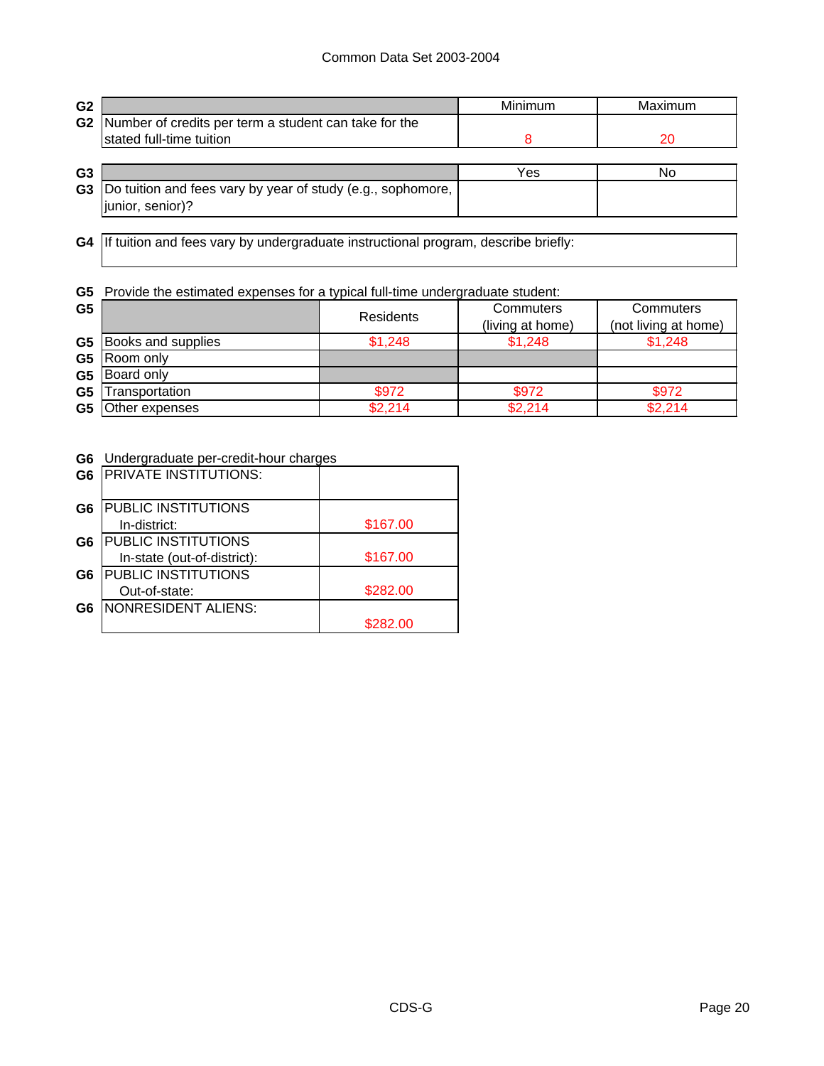### Common Data Set 2003-2004

| G <sub>2</sub> |                                                             | Minimum | Maximum |
|----------------|-------------------------------------------------------------|---------|---------|
| G <sub>2</sub> | Number of credits per term a student can take for the       |         |         |
|                | stated full-time tuition                                    |         | 20      |
|                |                                                             |         |         |
| G <sub>3</sub> |                                                             | Yes     | No      |
| G <sub>3</sub> | Do tuition and fees vary by year of study (e.g., sophomore, |         |         |
|                | junior, senior)?                                            |         |         |
|                |                                                             |         |         |

**G4** If tuition and fees vary by undergraduate instructional program, describe briefly:

### **G5** Provide the estimated expenses for a typical full-time undergraduate student:

| G <sub>5</sub> |                              | <b>Residents</b> | Commuters<br>(living at home) | Commuters<br>(not living at home) |
|----------------|------------------------------|------------------|-------------------------------|-----------------------------------|
|                | <b>G5</b> Books and supplies | \$1,248          | \$1,248                       | \$1,248                           |
|                | G5 Room only                 |                  |                               |                                   |
|                | G5 Board only                |                  |                               |                                   |
| G <sub>5</sub> | Transportation               | \$972            | \$972                         | \$972                             |
|                | <b>G5</b> Other expenses     | \$2,214          | \$2,214                       | \$2,214                           |

**G6** Undergraduate per-credit-hour charges

| G <sub>6</sub> | PRIVATE INSTITUTIONS:       |          |
|----------------|-----------------------------|----------|
| G6             | PUBLIC INSTITUTIONS         |          |
|                | In-district:                | \$167.00 |
| G6             | PUBLIC INSTITUTIONS         |          |
|                | In-state (out-of-district): | \$167.00 |
| G6             | PUBLIC INSTITUTIONS         |          |
|                | Out-of-state:               | \$282.00 |
| G6             | <b>NONRESIDENT ALIENS:</b>  |          |
|                |                             | \$282.00 |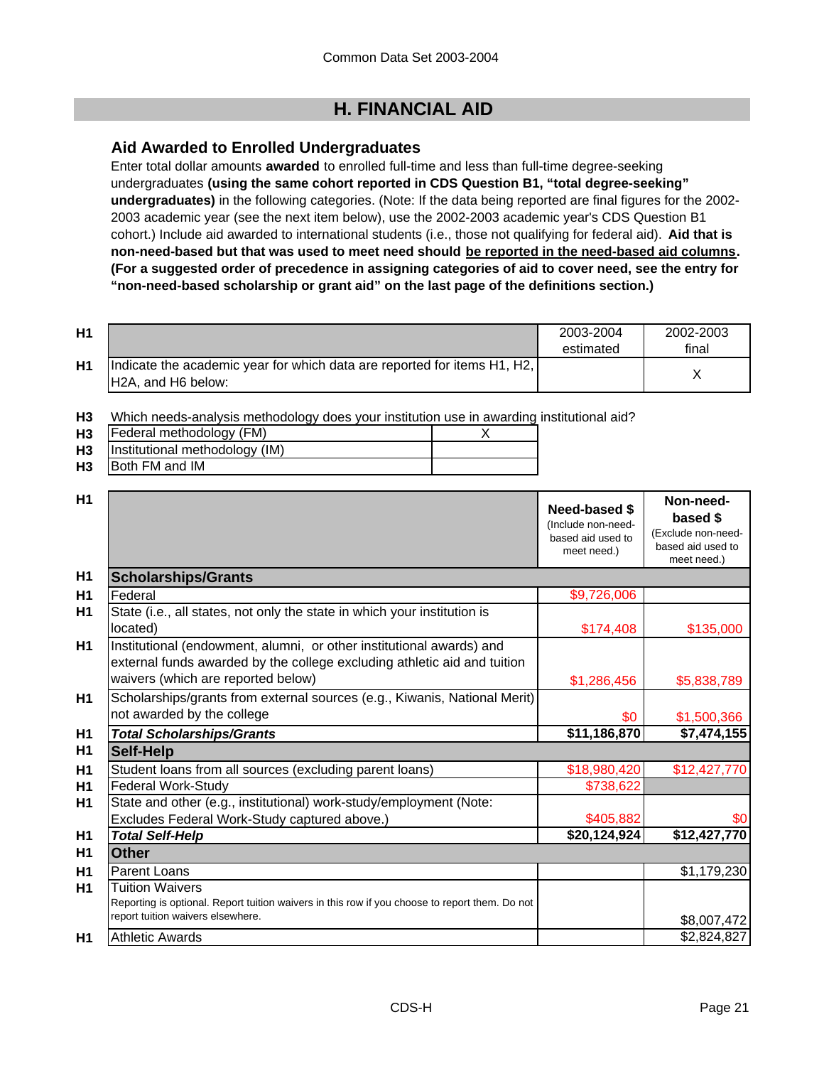# **H. FINANCIAL AID**

# **Aid Awarded to Enrolled Undergraduates**

Enter total dollar amounts **awarded** to enrolled full-time and less than full-time degree-seeking undergraduates **(using the same cohort reported in CDS Question B1, "total degree-seeking" undergraduates)** in the following categories. (Note: If the data being reported are final figures for the 2002- 2003 academic year (see the next item below), use the 2002-2003 academic year's CDS Question B1 cohort.) Include aid awarded to international students (i.e., those not qualifying for federal aid). **Aid that is non-need-based but that was used to meet need should be reported in the need-based aid columns. (For a suggested order of precedence in assigning categories of aid to cover need, see the entry for "non-need-based scholarship or grant aid" on the last page of the definitions section.)**

| H <sub>1</sub> |                                                                          | 2003-2004 | 2002-2003 |
|----------------|--------------------------------------------------------------------------|-----------|-----------|
|                |                                                                          | estimated | final     |
| H1             | Indicate the academic year for which data are reported for items H1, H2, |           |           |
|                | H2A, and H6 below:                                                       |           |           |

**H3** Which needs-analysis methodology does your institution use in awarding institutional aid?

|           | <b>H3</b> Federal methodology (FM)  |  |
|-----------|-------------------------------------|--|
|           | H3   Institutional methodology (IM) |  |
| <b>H3</b> | <b>IBoth FM and IM</b>              |  |

| H1             |                                                                                                                                                                                        | Need-based \$<br>(Include non-need-<br>based aid used to<br>meet need.) | Non-need-<br>based \$<br>(Exclude non-need-<br>based aid used to<br>meet need.) |
|----------------|----------------------------------------------------------------------------------------------------------------------------------------------------------------------------------------|-------------------------------------------------------------------------|---------------------------------------------------------------------------------|
| H1             | <b>Scholarships/Grants</b>                                                                                                                                                             |                                                                         |                                                                                 |
| H1             | Federal                                                                                                                                                                                | \$9,726,006                                                             |                                                                                 |
| H1             | State (i.e., all states, not only the state in which your institution is<br>located)                                                                                                   | \$174,408                                                               | \$135,000                                                                       |
| <b>H1</b>      | Institutional (endowment, alumni, or other institutional awards) and<br>external funds awarded by the college excluding athletic aid and tuition<br>waivers (which are reported below) | \$1,286,456                                                             | \$5,838,789                                                                     |
| <b>H1</b>      | Scholarships/grants from external sources (e.g., Kiwanis, National Merit)<br>not awarded by the college                                                                                | \$0                                                                     | \$1,500,366                                                                     |
| H1             | <b>Total Scholarships/Grants</b>                                                                                                                                                       | \$11,186,870                                                            | \$7,474,155                                                                     |
| H1             | <b>Self-Help</b>                                                                                                                                                                       |                                                                         |                                                                                 |
| H1             | Student loans from all sources (excluding parent loans)                                                                                                                                | \$18,980,420                                                            | \$12,427,770                                                                    |
| H1             | <b>Federal Work-Study</b>                                                                                                                                                              | \$738,622                                                               |                                                                                 |
| H1             | State and other (e.g., institutional) work-study/employment (Note:                                                                                                                     |                                                                         |                                                                                 |
|                | Excludes Federal Work-Study captured above.)                                                                                                                                           | \$405,882                                                               | \$0                                                                             |
| H1             | <b>Total Self-Help</b>                                                                                                                                                                 | \$20,124,924                                                            | \$12,427,770                                                                    |
| H1             | <b>Other</b>                                                                                                                                                                           |                                                                         |                                                                                 |
| H1             | Parent Loans                                                                                                                                                                           |                                                                         | \$1,179,230                                                                     |
| H1             | <b>Tuition Waivers</b><br>Reporting is optional. Report tuition waivers in this row if you choose to report them. Do not<br>report tuition waivers elsewhere.                          |                                                                         | \$8,007,472                                                                     |
| H <sub>1</sub> | <b>Athletic Awards</b>                                                                                                                                                                 |                                                                         | \$2,824,827                                                                     |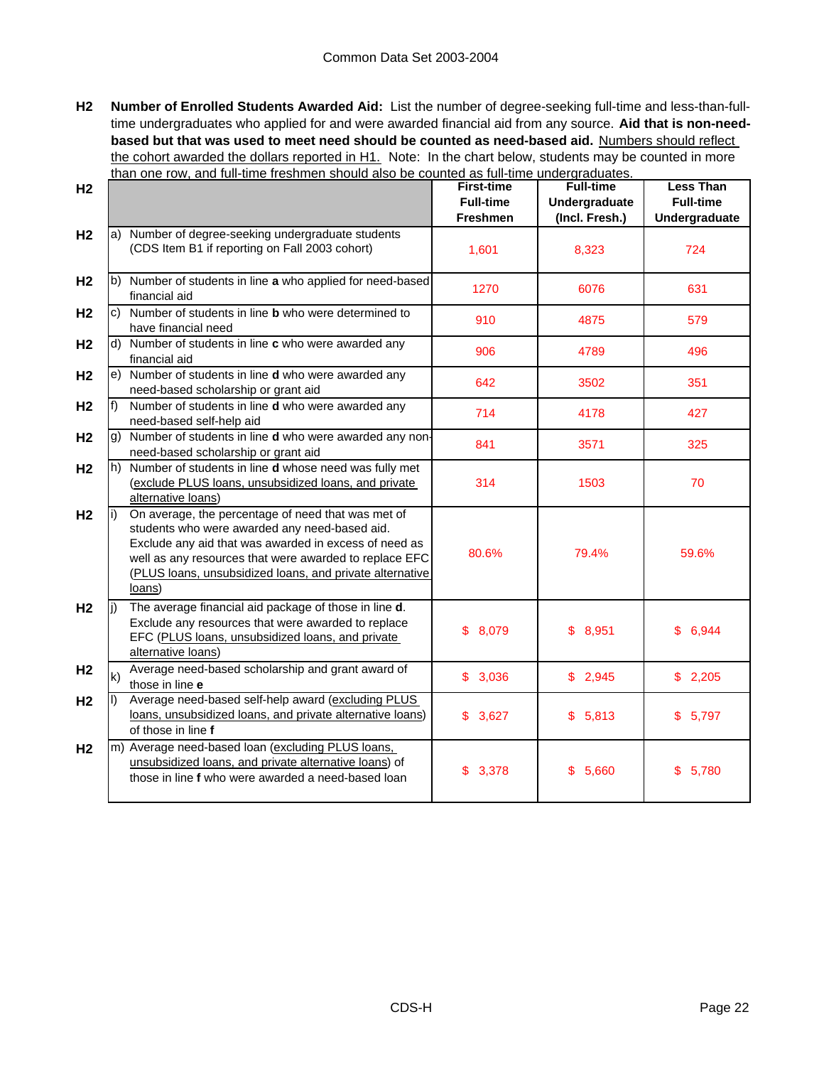**H2 Number of Enrolled Students Awarded Aid:** List the number of degree-seeking full-time and less-than-fulltime undergraduates who applied for and were awarded financial aid from any source. **Aid that is non-needbased but that was used to meet need should be counted as need-based aid.** Numbers should reflect the cohort awarded the dollars reported in H1. Note: In the chart below, students may be counted in more than one row, and full-time freshmen should also be counted as full-time undergraduates.

| H <sub>2</sub> |              |                                                                                                                                                                                                                                                                                              | <b>First-time</b><br><b>Full-time</b> | <b>Full-time</b><br>Undergraduate | <b>Less Than</b><br><b>Full-time</b> |
|----------------|--------------|----------------------------------------------------------------------------------------------------------------------------------------------------------------------------------------------------------------------------------------------------------------------------------------------|---------------------------------------|-----------------------------------|--------------------------------------|
|                |              |                                                                                                                                                                                                                                                                                              | <b>Freshmen</b>                       | (Incl. Fresh.)                    | Undergraduate                        |
| H <sub>2</sub> |              | a) Number of degree-seeking undergraduate students<br>(CDS Item B1 if reporting on Fall 2003 cohort)                                                                                                                                                                                         | 1,601                                 | 8,323                             | 724                                  |
| H <sub>2</sub> |              | b) Number of students in line a who applied for need-based<br>financial aid                                                                                                                                                                                                                  | 1270                                  | 6076                              | 631                                  |
| H <sub>2</sub> |              | c) Number of students in line <b>b</b> who were determined to<br>have financial need                                                                                                                                                                                                         | 910                                   | 4875                              | 579                                  |
| H <sub>2</sub> |              | d) Number of students in line c who were awarded any<br>financial aid                                                                                                                                                                                                                        | 906                                   | 4789                              | 496                                  |
| H <sub>2</sub> |              | e) Number of students in line d who were awarded any<br>need-based scholarship or grant aid                                                                                                                                                                                                  | 642                                   | 3502                              | 351                                  |
| H <sub>2</sub> |              | Number of students in line d who were awarded any<br>need-based self-help aid                                                                                                                                                                                                                | 714                                   | 4178                              | 427                                  |
| H <sub>2</sub> |              | g) Number of students in line d who were awarded any non-<br>need-based scholarship or grant aid                                                                                                                                                                                             | 841                                   | 3571                              | 325                                  |
| H <sub>2</sub> |              | h) Number of students in line <b>d</b> whose need was fully met<br>(exclude PLUS loans, unsubsidized loans, and private<br>alternative loans)                                                                                                                                                | 314                                   | 1503                              | 70                                   |
| H <sub>2</sub> |              | On average, the percentage of need that was met of<br>students who were awarded any need-based aid.<br>Exclude any aid that was awarded in excess of need as<br>well as any resources that were awarded to replace EFC<br>(PLUS loans, unsubsidized loans, and private alternative<br>loans) | 80.6%                                 | 79.4%                             | 59.6%                                |
| H <sub>2</sub> |              | The average financial aid package of those in line d.<br>Exclude any resources that were awarded to replace<br>EFC (PLUS loans, unsubsidized loans, and private<br>alternative loans)                                                                                                        | \$8,079                               | \$8,951                           | 6,944<br>\$.                         |
| H <sub>2</sub> | $\mathsf{k}$ | Average need-based scholarship and grant award of<br>those in line e                                                                                                                                                                                                                         | \$3,036                               | \$2,945                           | \$2,205                              |
| H <sub>2</sub> |              | Average need-based self-help award (excluding PLUS<br>loans, unsubsidized loans, and private alternative loans)<br>of those in line f                                                                                                                                                        | \$3,627                               | \$5,813                           | \$5,797                              |
| H <sub>2</sub> |              | m) Average need-based loan (excluding PLUS loans,<br>unsubsidized loans, and private alternative loans) of<br>those in line f who were awarded a need-based loan                                                                                                                             | \$3,378                               | \$5,660                           | \$5,780                              |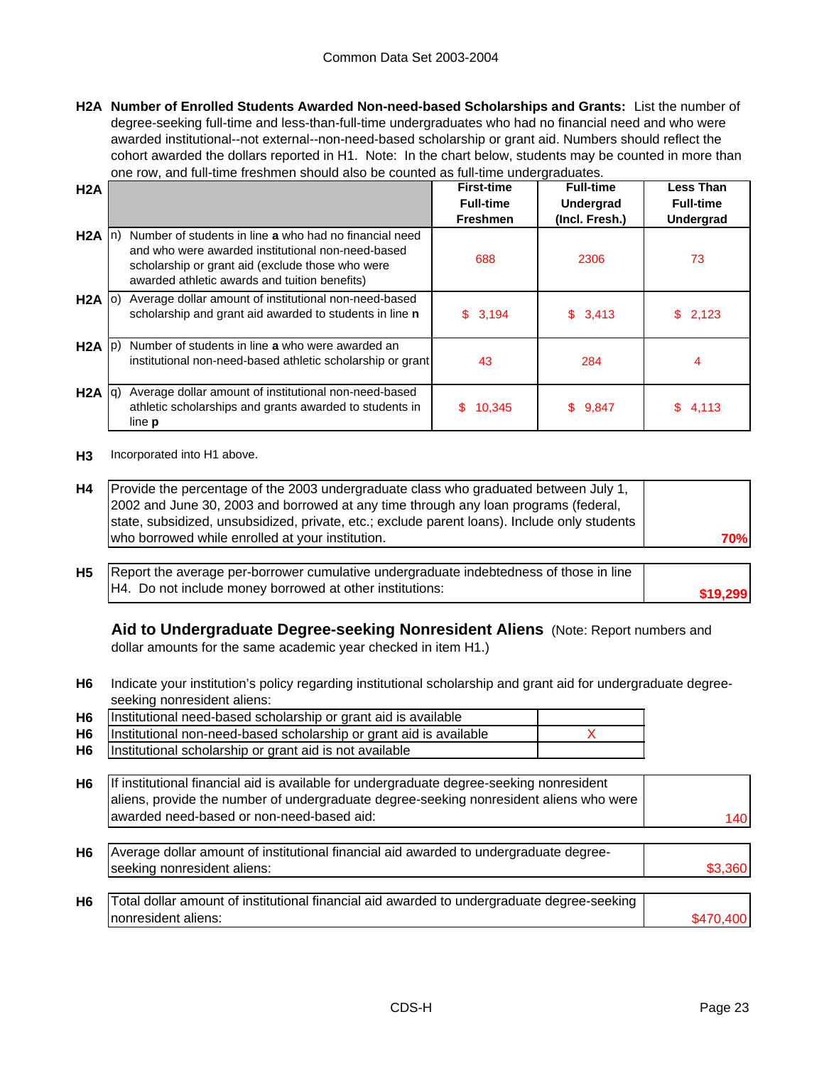**H2A Number of Enrolled Students Awarded Non-need-based Scholarships and Grants:** List the number of degree-seeking full-time and less-than-full-time undergraduates who had no financial need and who were awarded institutional--not external--non-need-based scholarship or grant aid. Numbers should reflect the cohort awarded the dollars reported in H1. Note: In the chart below, students may be counted in more than one row, and full-time freshmen should also be counted as full-time undergraduates.

| H2A               |                                                            | <b>First-time</b>                   | <b>Full-time</b>                   | <b>Less Than</b> |
|-------------------|------------------------------------------------------------|-------------------------------------|------------------------------------|------------------|
|                   |                                                            | <b>Full-time</b><br><b>Freshmen</b> | <b>Undergrad</b><br>(Incl. Fresh.) | <b>Full-time</b> |
|                   |                                                            |                                     |                                    | <b>Undergrad</b> |
| $H2A$ In)         | Number of students in line a who had no financial need     |                                     |                                    |                  |
|                   | and who were awarded institutional non-need-based          | 688                                 | 2306                               | 73               |
|                   | scholarship or grant aid (exclude those who were           |                                     |                                    |                  |
|                   | awarded athletic awards and tuition benefits)              |                                     |                                    |                  |
| $H2A$ (0)         | Average dollar amount of institutional non-need-based      |                                     |                                    |                  |
|                   | scholarship and grant aid awarded to students in line n    | \$3,194                             | \$3,413                            | 2,123<br>S.      |
|                   |                                                            |                                     |                                    |                  |
| $H2A$ $ p\rangle$ | Number of students in line a who were awarded an           |                                     |                                    |                  |
|                   | institutional non-need-based athletic scholarship or grant | 43                                  | 284                                | 4                |
|                   |                                                            |                                     |                                    |                  |
| $H2A$ $ q\rangle$ | Average dollar amount of institutional non-need-based      |                                     |                                    |                  |
|                   | athletic scholarships and grants awarded to students in    | 10,345<br>\$.                       | \$9,847                            | 4,113<br>SS.     |
|                   | line <b>p</b>                                              |                                     |                                    |                  |

**H3** Incorporated into H1 above.

| H4 | Provide the percentage of the 2003 undergraduate class who graduated between July 1,         |            |
|----|----------------------------------------------------------------------------------------------|------------|
|    | 2002 and June 30, 2003 and borrowed at any time through any loan programs (federal,          |            |
|    | state, subsidized, unsubsidized, private, etc.; exclude parent loans). Include only students |            |
|    | who borrowed while enrolled at your institution.                                             | <b>70%</b> |
|    |                                                                                              |            |

**H5 \$19,299** Report the average per-borrower cumulative undergraduate indebtedness of those in line H4. Do not include money borrowed at other institutions:

**Aid to Undergraduate Degree-seeking Nonresident Aliens** (Note: Report numbers and dollar amounts for the same academic year checked in item H1.)

**H6** Indicate your institution's policy regarding institutional scholarship and grant aid for undergraduate degreeseeking nonresident aliens:

| H <sub>6</sub> | Institutional need-based scholarship or grant aid is available     |  |
|----------------|--------------------------------------------------------------------|--|
| <b>H6</b>      | Institutional non-need-based scholarship or grant aid is available |  |
| <b>H6</b>      | Institutional scholarship or grant aid is not available            |  |

| H6 | If institutional financial aid is available for undergraduate degree-seeking nonresident |     |
|----|------------------------------------------------------------------------------------------|-----|
|    | aliens, provide the number of undergraduate degree-seeking nonresident aliens who were   |     |
|    | awarded need-based or non-need-based aid:                                                | 140 |
|    |                                                                                          |     |

**H6** \$3,360 Average dollar amount of institutional financial aid awarded to undergraduate degreeseeking nonresident aliens:

| H <sub>6</sub> | Total dollar amount of institutional financial aid awarded to undergraduate degree-seeking I |  |
|----------------|----------------------------------------------------------------------------------------------|--|
|                | Inonresident aliens:                                                                         |  |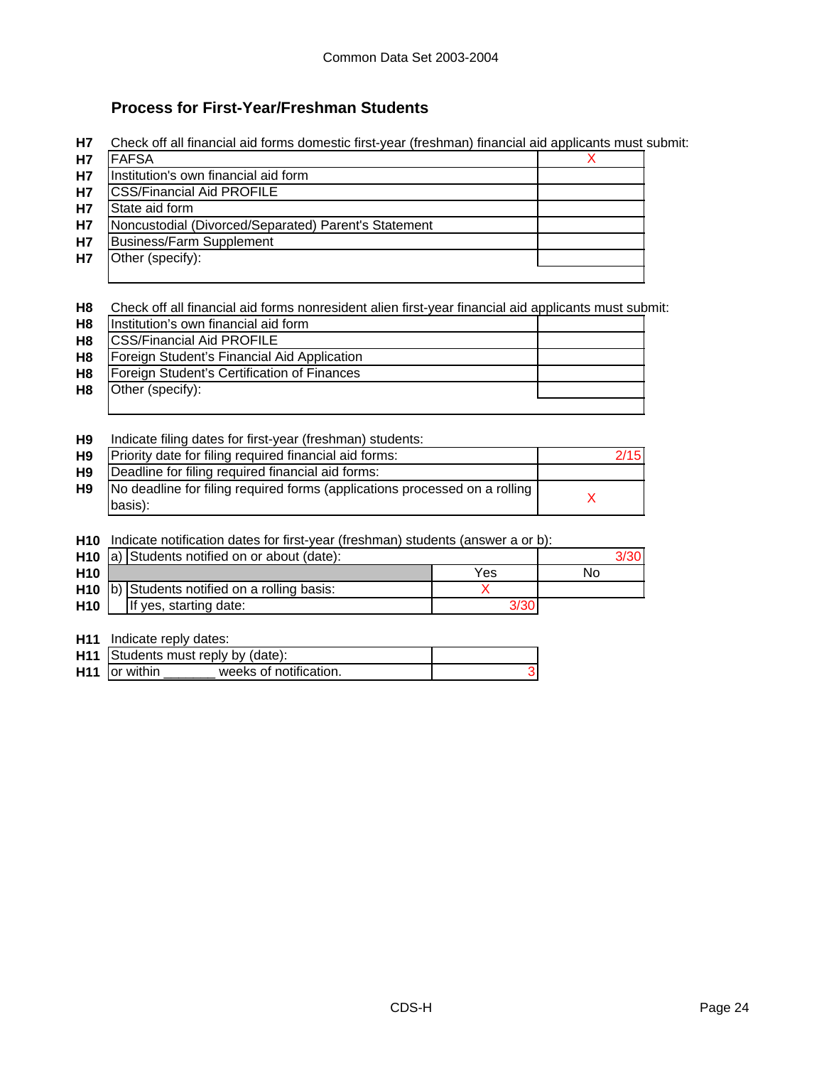# **Process for First-Year/Freshman Students**

**H7** Check off all financial aid forms domestic first-year (freshman) financial aid applicants must submit:

| <b>H7</b> | <b>FAFSA</b>                                         |  |
|-----------|------------------------------------------------------|--|
| H7        | Institution's own financial aid form                 |  |
| H7        | <b>CSS/Financial Aid PROFILE</b>                     |  |
| <b>H7</b> | State aid form                                       |  |
| H7        | Noncustodial (Divorced/Separated) Parent's Statement |  |
| H7        | <b>Business/Farm Supplement</b>                      |  |
| H7        | Other (specify):                                     |  |
|           |                                                      |  |

**H8** Check off all financial aid forms nonresident alien first-year financial aid applicants must submit:

| H <sub>8</sub> | Institution's own financial aid form        |  |
|----------------|---------------------------------------------|--|
| <b>H8</b>      | <b>CSS/Financial Aid PROFILE</b>            |  |
| <b>H8</b>      | Foreign Student's Financial Aid Application |  |
| <b>H8</b>      | Foreign Student's Certification of Finances |  |
| H8             | Other (specify):                            |  |
|                |                                             |  |

**H9** Indicate filing dates for first-year (freshman) students:

| 2/15<br>Priority date for filing required financial aid forms:<br><b>H9</b><br>Deadline for filing required financial aid forms:<br><b>H9</b><br>No deadline for filing required forms (applications processed on a rolling  <br><b>H9</b><br>basis): |  |  |
|-------------------------------------------------------------------------------------------------------------------------------------------------------------------------------------------------------------------------------------------------------|--|--|
|                                                                                                                                                                                                                                                       |  |  |
|                                                                                                                                                                                                                                                       |  |  |
|                                                                                                                                                                                                                                                       |  |  |

**H10** Indicate notification dates for first-year (freshman) students (answer a or b):

|                 | H <sub>10</sub> a) Students notified on or about (date): |     | 3/30 |
|-----------------|----------------------------------------------------------|-----|------|
| H <sub>10</sub> |                                                          | Yes | No   |
|                 | H <sub>10</sub> b) Students notified on a rolling basis: |     |      |
| <b>H10</b>      | If yes, starting date:                                   |     |      |

**H11** Indicate reply dates:

| H11 Students must reply by (date):                  |  |  |
|-----------------------------------------------------|--|--|
| H <sub>11</sub> or within<br>weeks of notification. |  |  |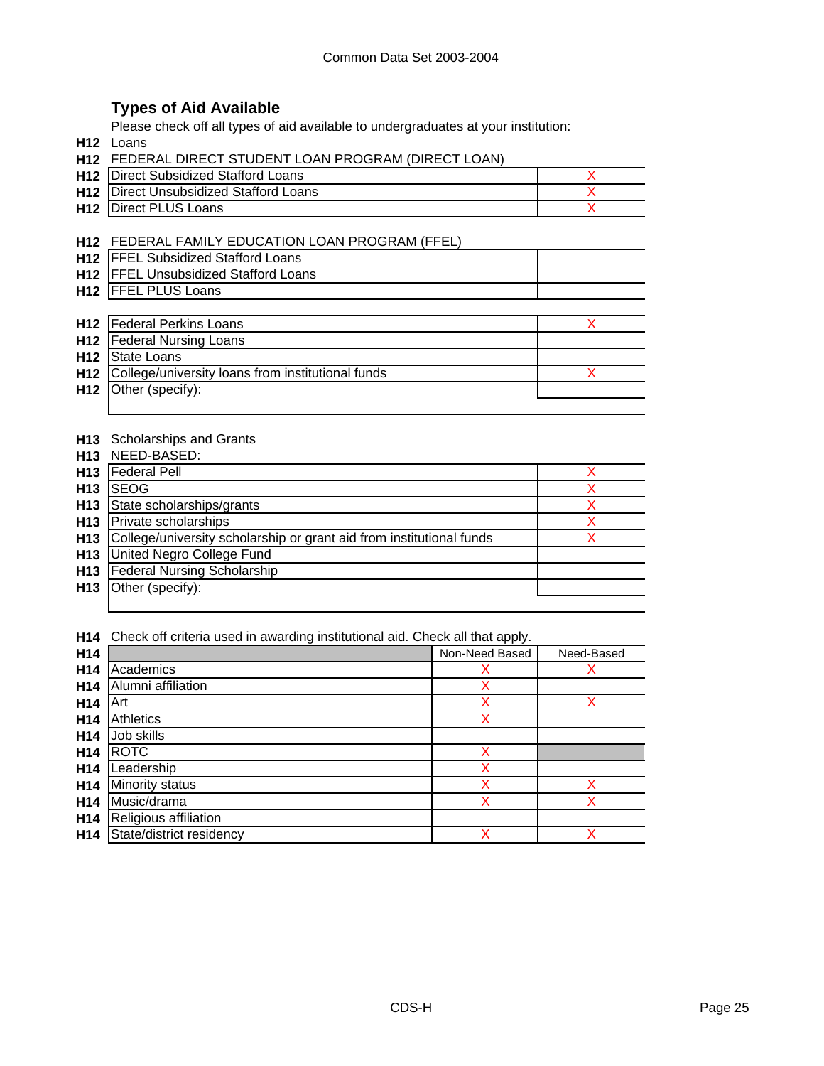# **Types of Aid Available**

Please check off all types of aid available to undergraduates at your institution:

**H12** Loans

| <b>H12</b> Direct Subsidized Stafford Loans   |  |
|-----------------------------------------------|--|
| <b>H12</b> Direct Unsubsidized Stafford Loans |  |
| <b>H12</b> Direct PLUS Loans                  |  |

### **H12** FEDERAL FAMILY EDUCATION LOAN PROGRAM (FFEL)

| <b>H12 IFFEL Subsidized Stafford Loans</b>  |  |
|---------------------------------------------|--|
| <b>H12 FFEL Unsubsidized Stafford Loans</b> |  |
| H <sub>12</sub>   FFEL PLUS Loans           |  |

| <b>H12</b>   Federal Perkins Loans                           |  |
|--------------------------------------------------------------|--|
| <b>H12</b>   Federal Nursing Loans                           |  |
| H <sub>12</sub> State Loans                                  |  |
| <b>H12</b> College/university loans from institutional funds |  |
| $H12$ Other (specify):                                       |  |
|                                                              |  |

### **H13** Scholarships and Grants

**H13** NEED-BASED:

| H <sub>13</sub> | <b>Federal Pell</b>                                                  |  |
|-----------------|----------------------------------------------------------------------|--|
| H <sub>13</sub> | <b>SEOG</b>                                                          |  |
| H13             | State scholarships/grants                                            |  |
|                 | H <sub>13</sub> Private scholarships                                 |  |
| H <sub>13</sub> | College/university scholarship or grant aid from institutional funds |  |
| H <sub>13</sub> | United Negro College Fund                                            |  |
| H13             | <b>Federal Nursing Scholarship</b>                                   |  |
| H13             | Other (specify):                                                     |  |
|                 |                                                                      |  |

**H14** Check off criteria used in awarding institutional aid. Check all that apply.

| H14             |                          | Non-Need Based | Need-Based |
|-----------------|--------------------------|----------------|------------|
| H <sub>14</sub> | Academics                | Х              |            |
| H <sub>14</sub> | Alumni affiliation       | X              |            |
| H <sub>14</sub> | Art                      | X              | х          |
| H <sub>14</sub> | Athletics                | X              |            |
| H <sub>14</sub> | Job skills               |                |            |
| H <sub>14</sub> | <b>ROTC</b>              | Χ              |            |
| H <sub>14</sub> | Leadership               | x              |            |
| H <sub>14</sub> | Minority status          | x              |            |
| H <sub>14</sub> | Music/drama              | x              |            |
| H <sub>14</sub> | Religious affiliation    |                |            |
| H <sub>14</sub> | State/district residency | X              |            |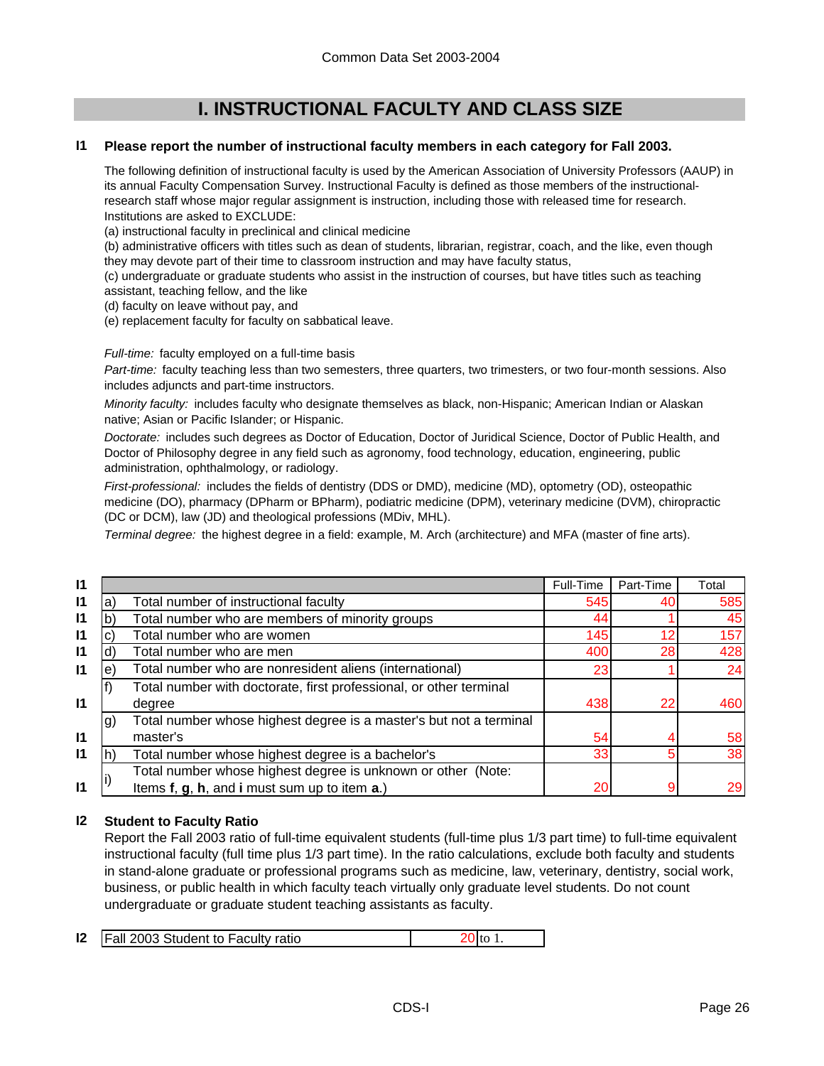# **I. INSTRUCTIONAL FACULTY AND CLASS SIZE**

#### **I1 Please report the number of instructional faculty members in each category for Fall 2003.**

The following definition of instructional faculty is used by the American Association of University Professors (AAUP) in its annual Faculty Compensation Survey. Instructional Faculty is defined as those members of the instructionalresearch staff whose major regular assignment is instruction, including those with released time for research. Institutions are asked to EXCLUDE:

(a) instructional faculty in preclinical and clinical medicine

(b) administrative officers with titles such as dean of students, librarian, registrar, coach, and the like, even though they may devote part of their time to classroom instruction and may have faculty status,

(c) undergraduate or graduate students who assist in the instruction of courses, but have titles such as teaching assistant, teaching fellow, and the like

(d) faculty on leave without pay, and

(e) replacement faculty for faculty on sabbatical leave.

*Full-time:* faculty employed on a full-time basis

*Part-time:* faculty teaching less than two semesters, three quarters, two trimesters, or two four-month sessions. Also includes adjuncts and part-time instructors.

*Minority faculty:* includes faculty who designate themselves as black, non-Hispanic; American Indian or Alaskan native; Asian or Pacific Islander; or Hispanic.

*Doctorate:* includes such degrees as Doctor of Education, Doctor of Juridical Science, Doctor of Public Health, and Doctor of Philosophy degree in any field such as agronomy, food technology, education, engineering, public administration, ophthalmology, or radiology.

*First-professional:* includes the fields of dentistry (DDS or DMD), medicine (MD), optometry (OD), osteopathic medicine (DO), pharmacy (DPharm or BPharm), podiatric medicine (DPM), veterinary medicine (DVM), chiropractic (DC or DCM), law (JD) and theological professions (MDiv, MHL).

*Terminal degree:* the highest degree in a field: example, M. Arch (architecture) and MFA (master of fine arts).

| 11           | Total |
|--------------|-------|
| $\mathbf{I}$ | 585   |
| $\mathbf{I}$ | 45    |
| $\mathbf{I}$ | 157   |
| $\mathbf{I}$ | 428   |
| $\mathsf{I}$ | 24    |
|              |       |
| $\mathsf{I}$ | 460   |
|              |       |
| $\mathsf{I}$ | 58    |
| $\mathsf{I}$ | 38    |
|              |       |
| $\mathsf{I}$ | 29    |
|              |       |

#### **I2 Student to Faculty Ratio**

Report the Fall 2003 ratio of full-time equivalent students (full-time plus 1/3 part time) to full-time equivalent instructional faculty (full time plus 1/3 part time). In the ratio calculations, exclude both faculty and students in stand-alone graduate or professional programs such as medicine, law, veterinary, dentistry, social work, business, or public health in which faculty teach virtually only graduate level students. Do not count undergraduate or graduate student teaching assistants as faculty.

|  |  | <b>12</b>   Fall 2003 Student to Faculty ratio | 20 to |  |
|--|--|------------------------------------------------|-------|--|
|--|--|------------------------------------------------|-------|--|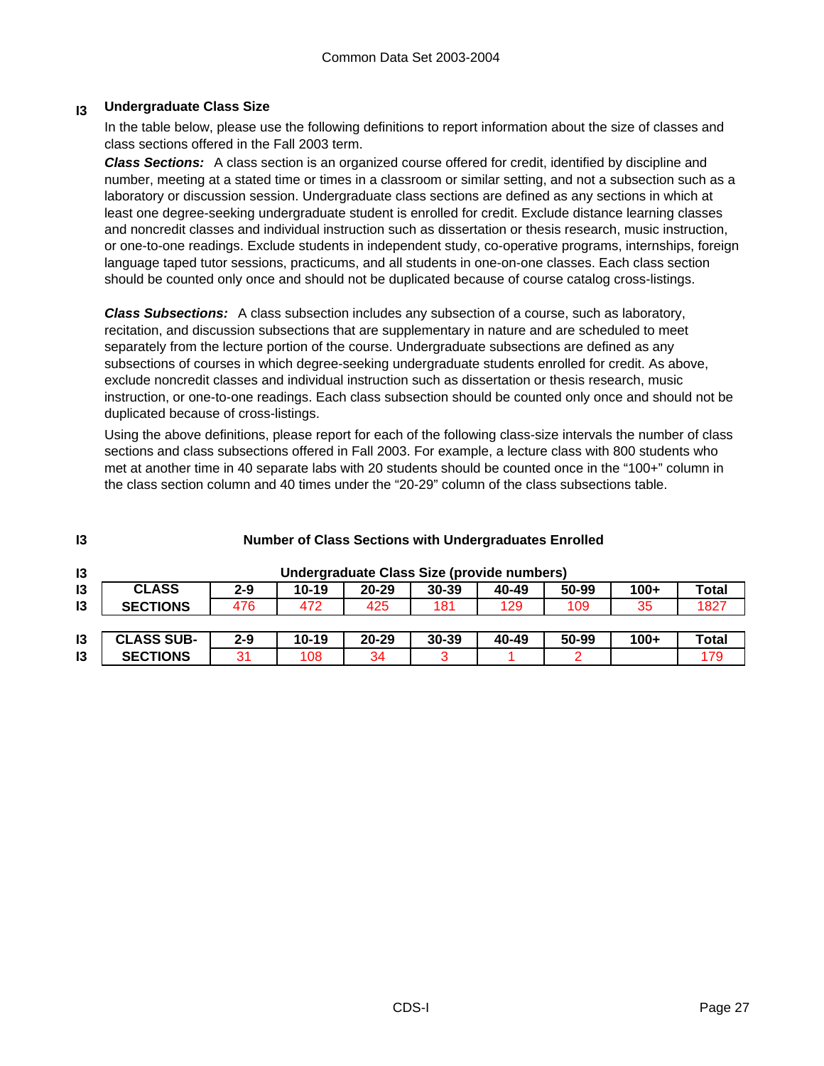#### **I3 Undergraduate Class Size**

In the table below, please use the following definitions to report information about the size of classes and class sections offered in the Fall 2003 term.

*Class Sections:* A class section is an organized course offered for credit, identified by discipline and number, meeting at a stated time or times in a classroom or similar setting, and not a subsection such as a laboratory or discussion session. Undergraduate class sections are defined as any sections in which at least one degree-seeking undergraduate student is enrolled for credit. Exclude distance learning classes and noncredit classes and individual instruction such as dissertation or thesis research, music instruction, or one-to-one readings. Exclude students in independent study, co-operative programs, internships, foreign language taped tutor sessions, practicums, and all students in one-on-one classes. Each class section should be counted only once and should not be duplicated because of course catalog cross-listings.

*Class Subsections:* A class subsection includes any subsection of a course, such as laboratory, recitation, and discussion subsections that are supplementary in nature and are scheduled to meet separately from the lecture portion of the course. Undergraduate subsections are defined as any subsections of courses in which degree-seeking undergraduate students enrolled for credit. As above, exclude noncredit classes and individual instruction such as dissertation or thesis research, music instruction, or one-to-one readings. Each class subsection should be counted only once and should not be duplicated because of cross-listings.

Using the above definitions, please report for each of the following class-size intervals the number of class sections and class subsections offered in Fall 2003. For example, a lecture class with 800 students who met at another time in 40 separate labs with 20 students should be counted once in the "100+" column in the class section column and 40 times under the "20-29" column of the class subsections table.

| 13             |                   |         | <b>Number of Class Sections with Undergraduates Enrolled</b> |                                            |           |       |       |        |              |
|----------------|-------------------|---------|--------------------------------------------------------------|--------------------------------------------|-----------|-------|-------|--------|--------------|
| 13             |                   |         |                                                              | Undergraduate Class Size (provide numbers) |           |       |       |        |              |
| 13             | <b>CLASS</b>      | $2 - 9$ | $10 - 19$                                                    | $20 - 29$                                  | $30 - 39$ | 40-49 | 50-99 | $100+$ | <b>Total</b> |
| 13             | <b>SECTIONS</b>   | 476     | 472                                                          | 425                                        | 181       | 129   | 109   | 35     | 1827         |
|                |                   |         |                                                              |                                            |           |       |       |        |              |
| 13             | <b>CLASS SUB-</b> | $2 - 9$ | $10 - 19$                                                    | $20 - 29$                                  | $30 - 39$ | 40-49 | 50-99 | $100+$ | <b>Total</b> |
| $\overline{3}$ | <b>SECTIONS</b>   | 31      | 108                                                          | 34                                         |           |       |       |        | 179          |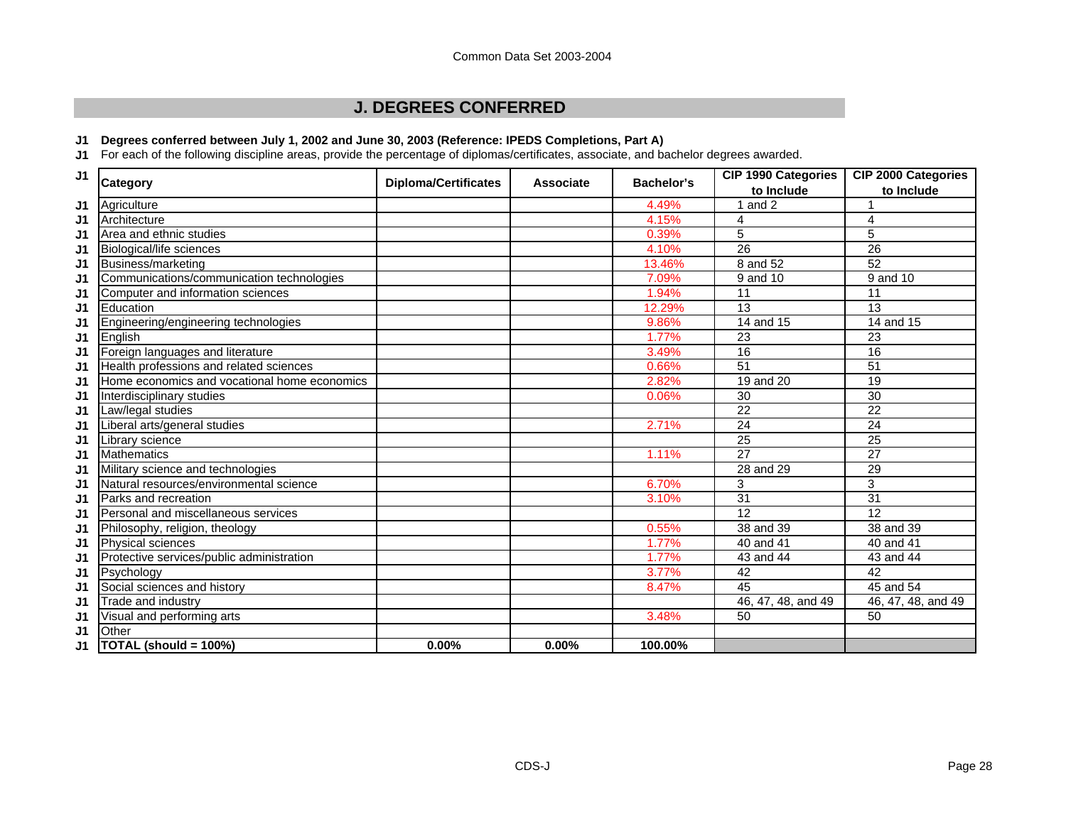# **J. DEGREES CONFERRED**

#### **J1 Degrees conferred between July 1, 2002 and June 30, 2003 (Reference: IPEDS Completions, Part A)**

**J1** For each of the following discipline areas, provide the percentage of diplomas/certificates, associate, and bachelor degrees awarded.

| J <sub>1</sub> |                                              |                             | <b>Associate</b> | <b>Bachelor's</b> | <b>CIP 1990 Categories</b> | <b>CIP 2000 Categories</b> |
|----------------|----------------------------------------------|-----------------------------|------------------|-------------------|----------------------------|----------------------------|
|                | <b>Category</b>                              | <b>Diploma/Certificates</b> |                  |                   | to Include                 | to Include                 |
| J1             | Agriculture                                  |                             |                  | 4.49%             | and 2                      |                            |
| J <sub>1</sub> | Architecture                                 |                             |                  | 4.15%             | 4                          | $\overline{4}$             |
| J <sub>1</sub> | Area and ethnic studies                      |                             |                  | 0.39%             | 5                          | $\sqrt{5}$                 |
| J1             | Biological/life sciences                     |                             |                  | 4.10%             | $\overline{26}$            | 26                         |
| J <sub>1</sub> | Business/marketing                           |                             |                  | 13.46%            | 8 and 52                   | $\overline{52}$            |
| J1             | Communications/communication technologies    |                             |                  | 7.09%             | 9 and 10                   | 9 and 10                   |
| J1             | Computer and information sciences            |                             |                  | 1.94%             | 11                         | 11                         |
| J1             | Education                                    |                             |                  | 12.29%            | 13                         | 13                         |
| J1             | Engineering/engineering technologies         |                             |                  | 9.86%             | 14 and 15                  | 14 and 15                  |
| J1             | English                                      |                             |                  | 1.77%             | $\overline{23}$            | $\overline{23}$            |
| J1             | Foreign languages and literature             |                             |                  | 3.49%             | 16                         | 16                         |
| J1             | Health professions and related sciences      |                             |                  | 0.66%             | $\overline{51}$            | $\overline{51}$            |
| J1             | Home economics and vocational home economics |                             |                  | 2.82%             | 19 and 20                  | 19                         |
| J1             | Interdisciplinary studies                    |                             |                  | 0.06%             | $\overline{30}$            | $\overline{30}$            |
| J1             | aw/legal studies                             |                             |                  |                   | $\overline{22}$            | $\overline{22}$            |
| J1             | iberal arts/general studies                  |                             |                  | 2.71%             | 24                         | 24                         |
| J <sub>1</sub> | Library science                              |                             |                  |                   | $\overline{25}$            | $\overline{25}$            |
| J1             | <b>Mathematics</b>                           |                             |                  | 1.11%             | $\overline{27}$            | 27                         |
| J1             | Military science and technologies            |                             |                  |                   | 28 and 29                  | 29                         |
| J1             | Natural resources/environmental science      |                             |                  | 6.70%             | 3                          | $\sqrt{3}$                 |
| J1             | Parks and recreation                         |                             |                  | 3.10%             | 31                         | 31                         |
| J1             | Personal and miscellaneous services          |                             |                  |                   | 12                         | 12                         |
| J1             | Philosophy, religion, theology               |                             |                  | 0.55%             | 38 and 39                  | 38 and 39                  |
| J1             | Physical sciences                            |                             |                  | 1.77%             | $\overline{40}$ and $41$   | 40 and 41                  |
| J <sub>1</sub> | Protective services/public administration    |                             |                  | 1.77%             | 43 and 44                  | 43 and 44                  |
| J1             | Psychology                                   |                             |                  | 3.77%             | 42                         | 42                         |
| J1             | Social sciences and history                  |                             |                  | 8.47%             | 45                         | 45 and 54                  |
| J1             | Trade and industry                           |                             |                  |                   | 46, 47, 48, and 49         | 46, 47, 48, and 49         |
| J1             | Visual and performing arts                   |                             |                  | 3.48%             | 50                         | 50                         |
| J1             | Other                                        |                             |                  |                   |                            |                            |
| J1             | TOTAL (should = 100%)                        | 0.00%                       | 0.00%            | 100.00%           |                            |                            |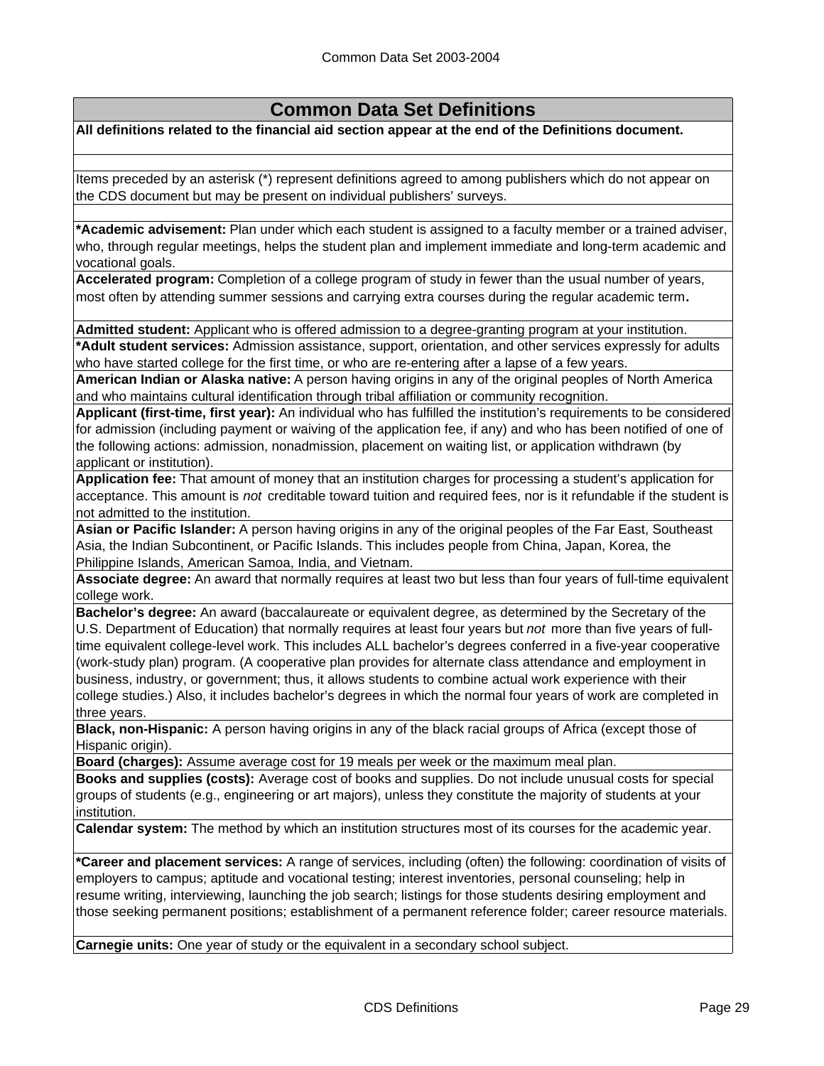# **Common Data Set Definitions**

**All definitions related to the financial aid section appear at the end of the Definitions document.**

Items preceded by an asterisk (\*) represent definitions agreed to among publishers which do not appear on the CDS document but may be present on individual publishers' surveys.

**\*Academic advisement:** Plan under which each student is assigned to a faculty member or a trained adviser, who, through regular meetings, helps the student plan and implement immediate and long-term academic and vocational goals.

**Accelerated program:** Completion of a college program of study in fewer than the usual number of years, most often by attending summer sessions and carrying extra courses during the regular academic term**.**

**Admitted student:** Applicant who is offered admission to a degree-granting program at your institution.

**\*Adult student services:** Admission assistance, support, orientation, and other services expressly for adults who have started college for the first time, or who are re-entering after a lapse of a few years.

**American Indian or Alaska native:** A person having origins in any of the original peoples of North America and who maintains cultural identification through tribal affiliation or community recognition.

**Applicant (first-time, first year):** An individual who has fulfilled the institution's requirements to be considered for admission (including payment or waiving of the application fee, if any) and who has been notified of one of the following actions: admission, nonadmission, placement on waiting list, or application withdrawn (by applicant or institution).

**Application fee:** That amount of money that an institution charges for processing a student's application for acceptance. This amount is *not* creditable toward tuition and required fees, nor is it refundable if the student is not admitted to the institution.

**Asian or Pacific Islander:** A person having origins in any of the original peoples of the Far East, Southeast Asia, the Indian Subcontinent, or Pacific Islands. This includes people from China, Japan, Korea, the Philippine Islands, American Samoa, India, and Vietnam.

**Associate degree:** An award that normally requires at least two but less than four years of full-time equivalent college work.

**Bachelor's degree:** An award (baccalaureate or equivalent degree, as determined by the Secretary of the U.S. Department of Education) that normally requires at least four years but *not* more than five years of fulltime equivalent college-level work. This includes ALL bachelor's degrees conferred in a five-year cooperative (work-study plan) program. (A cooperative plan provides for alternate class attendance and employment in business, industry, or government; thus, it allows students to combine actual work experience with their college studies.) Also, it includes bachelor's degrees in which the normal four years of work are completed in three years.

**Black, non-Hispanic:** A person having origins in any of the black racial groups of Africa (except those of Hispanic origin).

**Board (charges):** Assume average cost for 19 meals per week or the maximum meal plan.

**Books and supplies (costs):** Average cost of books and supplies. Do not include unusual costs for special groups of students (e.g., engineering or art majors), unless they constitute the majority of students at your institution.

**Calendar system:** The method by which an institution structures most of its courses for the academic year.

**\*Career and placement services:** A range of services, including (often) the following: coordination of visits of employers to campus; aptitude and vocational testing; interest inventories, personal counseling; help in resume writing, interviewing, launching the job search; listings for those students desiring employment and those seeking permanent positions; establishment of a permanent reference folder; career resource materials.

**Carnegie units:** One year of study or the equivalent in a secondary school subject.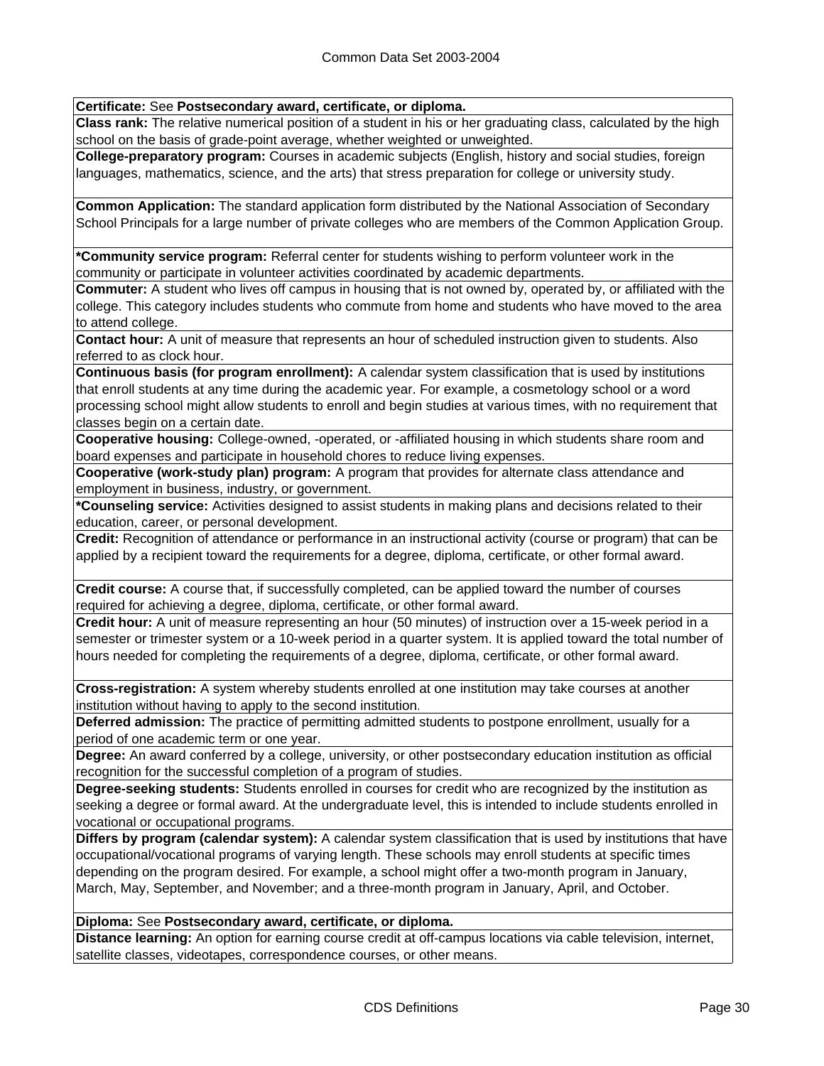**Certificate:** See **Postsecondary award, certificate, or diploma.**

**Class rank:** The relative numerical position of a student in his or her graduating class, calculated by the high school on the basis of grade-point average, whether weighted or unweighted.

**College-preparatory program:** Courses in academic subjects (English, history and social studies, foreign languages, mathematics, science, and the arts) that stress preparation for college or university study.

**Common Application:** The standard application form distributed by the National Association of Secondary School Principals for a large number of private colleges who are members of the Common Application Group.

**\*Community service program:** Referral center for students wishing to perform volunteer work in the community or participate in volunteer activities coordinated by academic departments.

**Commuter:** A student who lives off campus in housing that is not owned by, operated by, or affiliated with the college. This category includes students who commute from home and students who have moved to the area to attend college.

**Contact hour:** A unit of measure that represents an hour of scheduled instruction given to students. Also referred to as clock hour.

**Continuous basis (for program enrollment):** A calendar system classification that is used by institutions that enroll students at any time during the academic year. For example, a cosmetology school or a word processing school might allow students to enroll and begin studies at various times, with no requirement that classes begin on a certain date.

**Cooperative housing:** College-owned, -operated, or -affiliated housing in which students share room and board expenses and participate in household chores to reduce living expenses.

**Cooperative (work-study plan) program:** A program that provides for alternate class attendance and employment in business, industry, or government.

**\*Counseling service:** Activities designed to assist students in making plans and decisions related to their education, career, or personal development.

**Credit:** Recognition of attendance or performance in an instructional activity (course or program) that can be applied by a recipient toward the requirements for a degree, diploma, certificate, or other formal award.

**Credit course:** A course that, if successfully completed, can be applied toward the number of courses required for achieving a degree, diploma, certificate, or other formal award.

**Credit hour:** A unit of measure representing an hour (50 minutes) of instruction over a 15-week period in a semester or trimester system or a 10-week period in a quarter system. It is applied toward the total number of hours needed for completing the requirements of a degree, diploma, certificate, or other formal award.

**Cross-registration:** A system whereby students enrolled at one institution may take courses at another institution without having to apply to the second institution.

**Deferred admission:** The practice of permitting admitted students to postpone enrollment, usually for a period of one academic term or one year.

**Degree:** An award conferred by a college, university, or other postsecondary education institution as official recognition for the successful completion of a program of studies.

**Degree-seeking students:** Students enrolled in courses for credit who are recognized by the institution as seeking a degree or formal award. At the undergraduate level, this is intended to include students enrolled in vocational or occupational programs.

**Differs by program (calendar system):** A calendar system classification that is used by institutions that have occupational/vocational programs of varying length. These schools may enroll students at specific times depending on the program desired. For example, a school might offer a two-month program in January, March, May, September, and November; and a three-month program in January, April, and October.

### **Diploma:** See **Postsecondary award, certificate, or diploma.**

**Distance learning:** An option for earning course credit at off-campus locations via cable television, internet, satellite classes, videotapes, correspondence courses, or other means.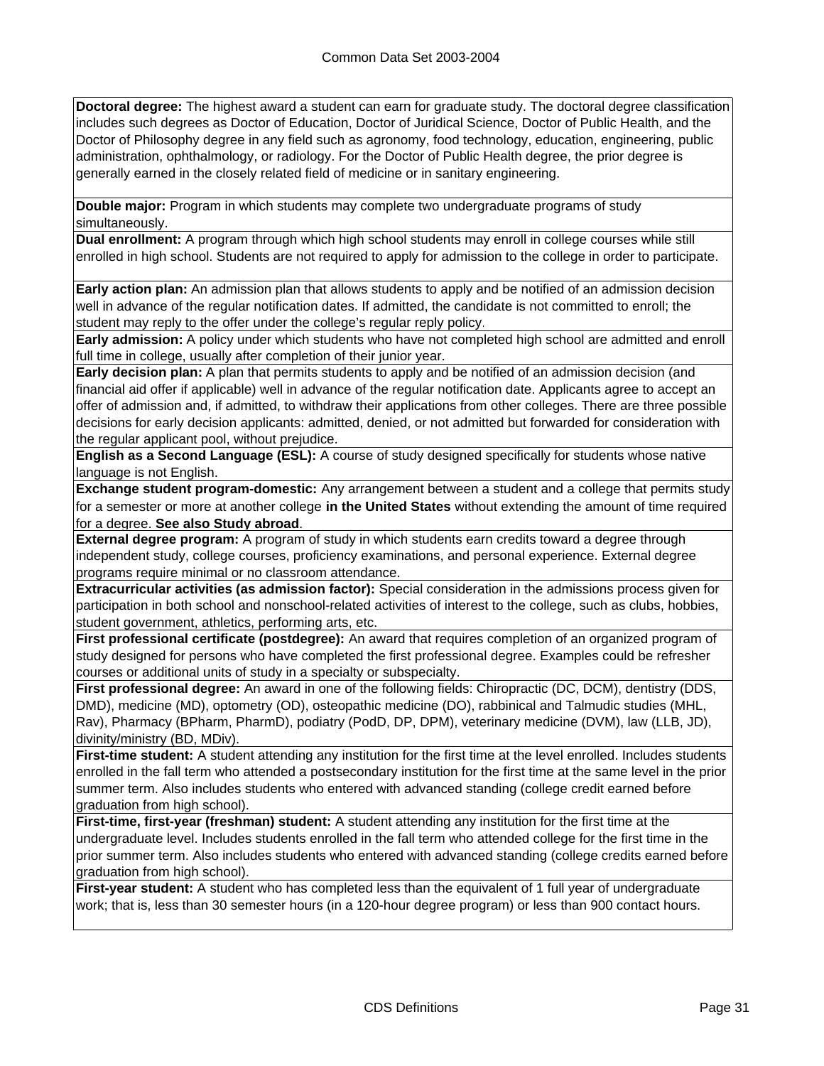**Doctoral degree:** The highest award a student can earn for graduate study. The doctoral degree classification includes such degrees as Doctor of Education, Doctor of Juridical Science, Doctor of Public Health, and the Doctor of Philosophy degree in any field such as agronomy, food technology, education, engineering, public administration, ophthalmology, or radiology. For the Doctor of Public Health degree, the prior degree is generally earned in the closely related field of medicine or in sanitary engineering.

**Double major:** Program in which students may complete two undergraduate programs of study simultaneously.

**Dual enrollment:** A program through which high school students may enroll in college courses while still enrolled in high school. Students are not required to apply for admission to the college in order to participate.

**Early action plan:** An admission plan that allows students to apply and be notified of an admission decision well in advance of the regular notification dates. If admitted, the candidate is not committed to enroll; the student may reply to the offer under the college's regular reply policy.

**Early admission:** A policy under which students who have not completed high school are admitted and enroll full time in college, usually after completion of their junior year.

**Early decision plan:** A plan that permits students to apply and be notified of an admission decision (and financial aid offer if applicable) well in advance of the regular notification date. Applicants agree to accept an offer of admission and, if admitted, to withdraw their applications from other colleges. There are three possible decisions for early decision applicants: admitted, denied, or not admitted but forwarded for consideration with the regular applicant pool, without prejudice.

**English as a Second Language (ESL):** A course of study designed specifically for students whose native language is not English.

**Exchange student program-domestic:** Any arrangement between a student and a college that permits study for a semester or more at another college **in the United States** without extending the amount of time required for a degree. **See also Study abroad**.

**External degree program:** A program of study in which students earn credits toward a degree through independent study, college courses, proficiency examinations, and personal experience. External degree programs require minimal or no classroom attendance.

**Extracurricular activities (as admission factor):** Special consideration in the admissions process given for participation in both school and nonschool-related activities of interest to the college, such as clubs, hobbies, student government, athletics, performing arts, etc.

**First professional certificate (postdegree):** An award that requires completion of an organized program of study designed for persons who have completed the first professional degree. Examples could be refresher courses or additional units of study in a specialty or subspecialty.

**First professional degree:** An award in one of the following fields: Chiropractic (DC, DCM), dentistry (DDS, DMD), medicine (MD), optometry (OD), osteopathic medicine (DO), rabbinical and Talmudic studies (MHL, Rav), Pharmacy (BPharm, PharmD), podiatry (PodD, DP, DPM), veterinary medicine (DVM), law (LLB, JD), divinity/ministry (BD, MDiv).

**First-time student:** A student attending any institution for the first time at the level enrolled. Includes students enrolled in the fall term who attended a postsecondary institution for the first time at the same level in the prior summer term. Also includes students who entered with advanced standing (college credit earned before graduation from high school).

**First-time, first-year (freshman) student:** A student attending any institution for the first time at the undergraduate level. Includes students enrolled in the fall term who attended college for the first time in the prior summer term. Also includes students who entered with advanced standing (college credits earned before graduation from high school).

**First-year student:** A student who has completed less than the equivalent of 1 full year of undergraduate work; that is, less than 30 semester hours (in a 120-hour degree program) or less than 900 contact hours.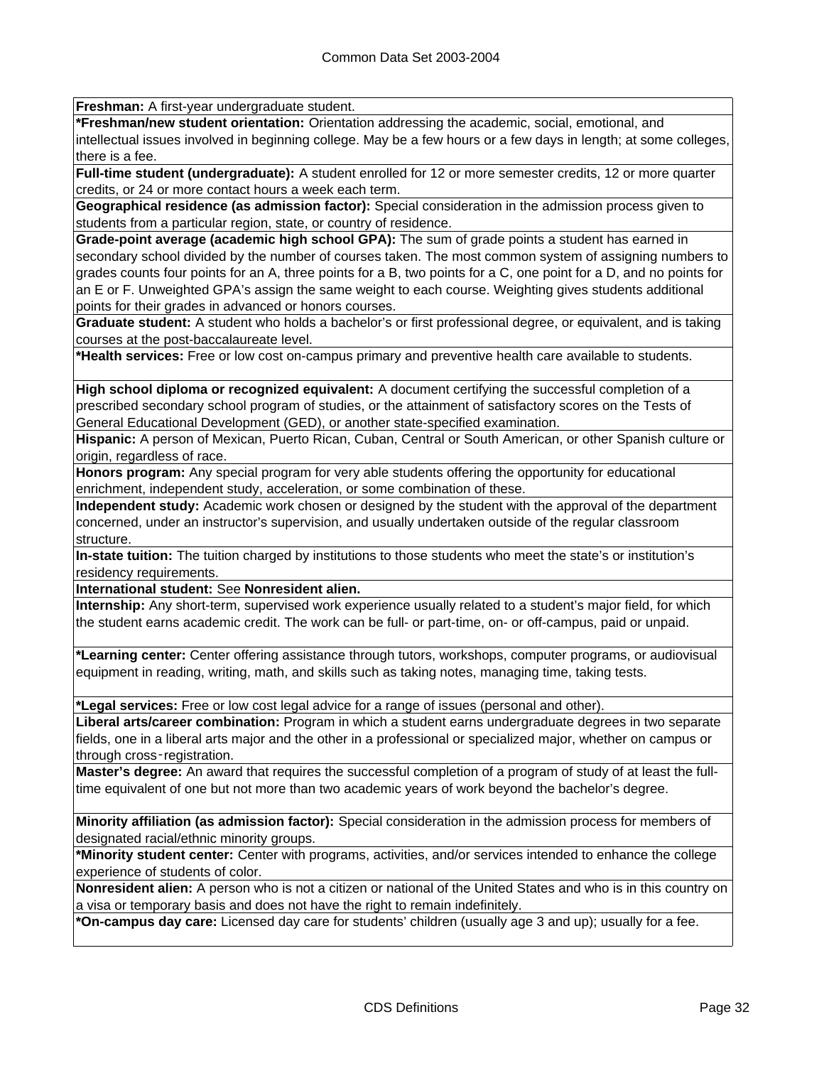**Freshman:** A first-year undergraduate student.

**\*Freshman/new student orientation:** Orientation addressing the academic, social, emotional, and intellectual issues involved in beginning college. May be a few hours or a few days in length; at some colleges, there is a fee.

**Full-time student (undergraduate):** A student enrolled for 12 or more semester credits, 12 or more quarter credits, or 24 or more contact hours a week each term.

**Geographical residence (as admission factor):** Special consideration in the admission process given to students from a particular region, state, or country of residence.

**Grade-point average (academic high school GPA):** The sum of grade points a student has earned in secondary school divided by the number of courses taken. The most common system of assigning numbers to grades counts four points for an A, three points for a B, two points for a C, one point for a D, and no points for an E or F. Unweighted GPA's assign the same weight to each course. Weighting gives students additional points for their grades in advanced or honors courses.

**Graduate student:** A student who holds a bachelor's or first professional degree, or equivalent, and is taking courses at the post-baccalaureate level.

**\*Health services:** Free or low cost on-campus primary and preventive health care available to students.

**High school diploma or recognized equivalent:** A document certifying the successful completion of a prescribed secondary school program of studies, or the attainment of satisfactory scores on the Tests of General Educational Development (GED), or another state-specified examination.

**Hispanic:** A person of Mexican, Puerto Rican, Cuban, Central or South American, or other Spanish culture or origin, regardless of race.

**Honors program:** Any special program for very able students offering the opportunity for educational enrichment, independent study, acceleration, or some combination of these.

**Independent study:** Academic work chosen or designed by the student with the approval of the department concerned, under an instructor's supervision, and usually undertaken outside of the regular classroom structure.

**In-state tuition:** The tuition charged by institutions to those students who meet the state's or institution's residency requirements.

**International student:** See **Nonresident alien.**

**Internship:** Any short-term, supervised work experience usually related to a student's major field, for which the student earns academic credit. The work can be full- or part-time, on- or off-campus, paid or unpaid.

**\*Learning center:** Center offering assistance through tutors, workshops, computer programs, or audiovisual equipment in reading, writing, math, and skills such as taking notes, managing time, taking tests.

**\*Legal services:** Free or low cost legal advice for a range of issues (personal and other).

**Liberal arts/career combination:** Program in which a student earns undergraduate degrees in two separate fields, one in a liberal arts major and the other in a professional or specialized major, whether on campus or through cross‑registration.

**Master's degree:** An award that requires the successful completion of a program of study of at least the fulltime equivalent of one but not more than two academic years of work beyond the bachelor's degree.

**Minority affiliation (as admission factor):** Special consideration in the admission process for members of designated racial/ethnic minority groups.

**\*Minority student center:** Center with programs, activities, and/or services intended to enhance the college experience of students of color.

**Nonresident alien:** A person who is not a citizen or national of the United States and who is in this country on a visa or temporary basis and does not have the right to remain indefinitely.

**\*On-campus day care:** Licensed day care for students' children (usually age 3 and up); usually for a fee.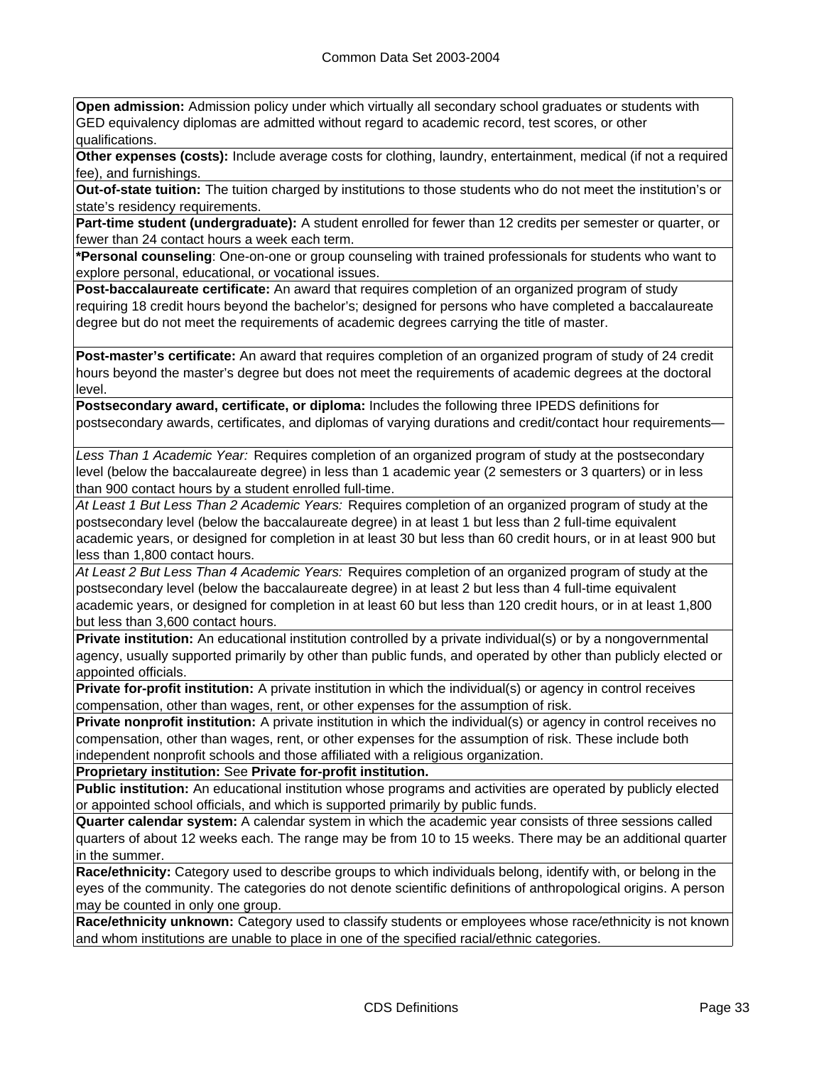**Open admission:** Admission policy under which virtually all secondary school graduates or students with GED equivalency diplomas are admitted without regard to academic record, test scores, or other qualifications.

**Other expenses (costs):** Include average costs for clothing, laundry, entertainment, medical (if not a required fee), and furnishings.

**Out-of-state tuition:** The tuition charged by institutions to those students who do not meet the institution's or state's residency requirements.

**Part-time student (undergraduate):** A student enrolled for fewer than 12 credits per semester or quarter, or fewer than 24 contact hours a week each term.

**\*Personal counseling**: One-on-one or group counseling with trained professionals for students who want to explore personal, educational, or vocational issues.

**Post-baccalaureate certificate:** An award that requires completion of an organized program of study requiring 18 credit hours beyond the bachelor's; designed for persons who have completed a baccalaureate degree but do not meet the requirements of academic degrees carrying the title of master.

**Post-master's certificate:** An award that requires completion of an organized program of study of 24 credit hours beyond the master's degree but does not meet the requirements of academic degrees at the doctoral level.

**Postsecondary award, certificate, or diploma:** Includes the following three IPEDS definitions for postsecondary awards, certificates, and diplomas of varying durations and credit/contact hour requirements—

*Less Than 1 Academic Year:* Requires completion of an organized program of study at the postsecondary level (below the baccalaureate degree) in less than 1 academic year (2 semesters or 3 quarters) or in less than 900 contact hours by a student enrolled full-time.

*At Least 1 But Less Than 2 Academic Years:* Requires completion of an organized program of study at the postsecondary level (below the baccalaureate degree) in at least 1 but less than 2 full-time equivalent academic years, or designed for completion in at least 30 but less than 60 credit hours, or in at least 900 but less than 1,800 contact hours.

*At Least 2 But Less Than 4 Academic Years:* Requires completion of an organized program of study at the postsecondary level (below the baccalaureate degree) in at least 2 but less than 4 full-time equivalent academic years, or designed for completion in at least 60 but less than 120 credit hours, or in at least 1,800 but less than 3,600 contact hours.

**Private institution:** An educational institution controlled by a private individual(s) or by a nongovernmental agency, usually supported primarily by other than public funds, and operated by other than publicly elected or appointed officials.

**Private for-profit institution:** A private institution in which the individual(s) or agency in control receives compensation, other than wages, rent, or other expenses for the assumption of risk.

**Private nonprofit institution:** A private institution in which the individual(s) or agency in control receives no compensation, other than wages, rent, or other expenses for the assumption of risk. These include both independent nonprofit schools and those affiliated with a religious organization.

**Proprietary institution:** See **Private for-profit institution.**

**Public institution:** An educational institution whose programs and activities are operated by publicly elected or appointed school officials, and which is supported primarily by public funds.

**Quarter calendar system:** A calendar system in which the academic year consists of three sessions called quarters of about 12 weeks each. The range may be from 10 to 15 weeks. There may be an additional quarter in the summer.

**Race/ethnicity:** Category used to describe groups to which individuals belong, identify with, or belong in the eyes of the community. The categories do not denote scientific definitions of anthropological origins. A person may be counted in only one group.

**Race/ethnicity unknown:** Category used to classify students or employees whose race/ethnicity is not known and whom institutions are unable to place in one of the specified racial/ethnic categories.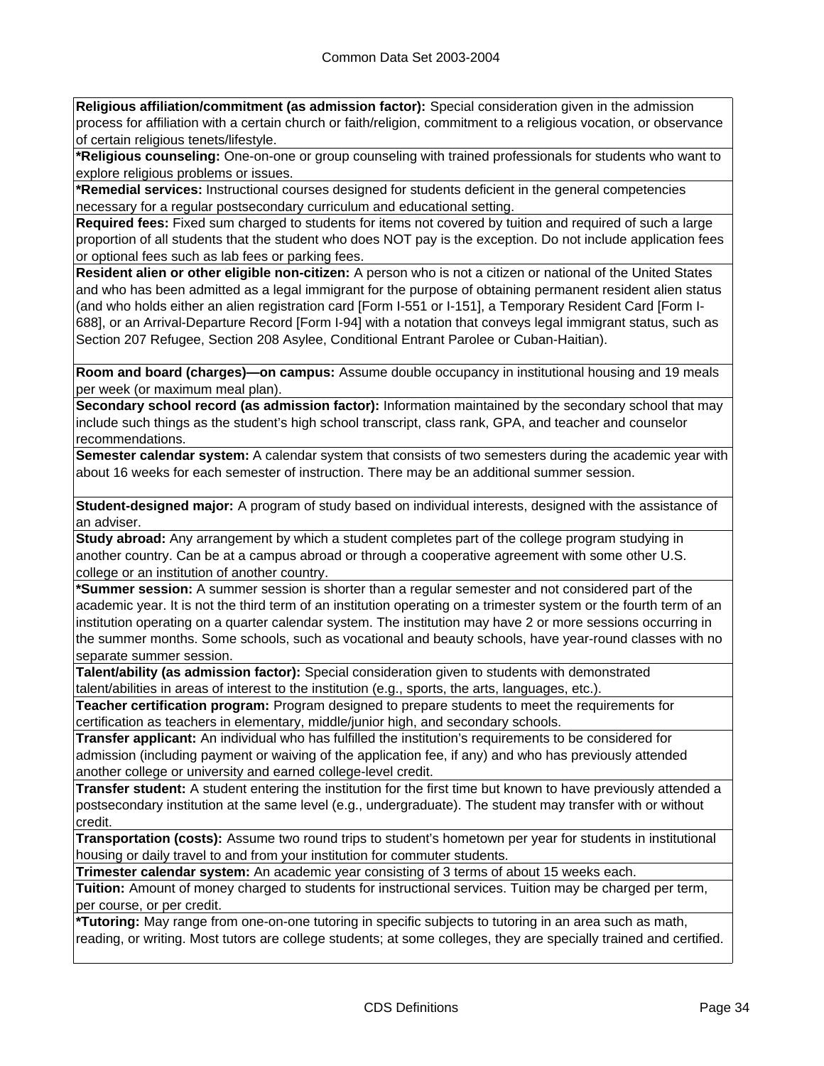**Religious affiliation/commitment (as admission factor):** Special consideration given in the admission process for affiliation with a certain church or faith/religion, commitment to a religious vocation, or observance of certain religious tenets/lifestyle.

**\*Religious counseling:** One-on-one or group counseling with trained professionals for students who want to explore religious problems or issues.

**\*Remedial services:** Instructional courses designed for students deficient in the general competencies necessary for a regular postsecondary curriculum and educational setting.

**Required fees:** Fixed sum charged to students for items not covered by tuition and required of such a large proportion of all students that the student who does NOT pay is the exception. Do not include application fees or optional fees such as lab fees or parking fees.

**Resident alien or other eligible non-citizen:** A person who is not a citizen or national of the United States and who has been admitted as a legal immigrant for the purpose of obtaining permanent resident alien status (and who holds either an alien registration card [Form I-551 or I-151], a Temporary Resident Card [Form I-688], or an Arrival-Departure Record [Form I-94] with a notation that conveys legal immigrant status, such as Section 207 Refugee, Section 208 Asylee, Conditional Entrant Parolee or Cuban-Haitian).

**Room and board (charges)—on campus:** Assume double occupancy in institutional housing and 19 meals per week (or maximum meal plan).

**Secondary school record (as admission factor):** Information maintained by the secondary school that may include such things as the student's high school transcript, class rank, GPA, and teacher and counselor recommendations.

**Semester calendar system:** A calendar system that consists of two semesters during the academic year with about 16 weeks for each semester of instruction. There may be an additional summer session.

**Student-designed major:** A program of study based on individual interests, designed with the assistance of an adviser.

**Study abroad:** Any arrangement by which a student completes part of the college program studying in another country. Can be at a campus abroad or through a cooperative agreement with some other U.S. college or an institution of another country.

**\*Summer session:** A summer session is shorter than a regular semester and not considered part of the academic year. It is not the third term of an institution operating on a trimester system or the fourth term of an institution operating on a quarter calendar system. The institution may have 2 or more sessions occurring in the summer months. Some schools, such as vocational and beauty schools, have year-round classes with no separate summer session.

**Talent/ability (as admission factor):** Special consideration given to students with demonstrated talent/abilities in areas of interest to the institution (e.g., sports, the arts, languages, etc.).

**Teacher certification program:** Program designed to prepare students to meet the requirements for certification as teachers in elementary, middle/junior high, and secondary schools.

**Transfer applicant:** An individual who has fulfilled the institution's requirements to be considered for admission (including payment or waiving of the application fee, if any) and who has previously attended another college or university and earned college-level credit.

**Transfer student:** A student entering the institution for the first time but known to have previously attended a postsecondary institution at the same level (e.g., undergraduate). The student may transfer with or without credit.

**Transportation (costs):** Assume two round trips to student's hometown per year for students in institutional housing or daily travel to and from your institution for commuter students.

**Trimester calendar system:** An academic year consisting of 3 terms of about 15 weeks each.

**Tuition:** Amount of money charged to students for instructional services. Tuition may be charged per term, per course, or per credit.

**\*Tutoring:** May range from one-on-one tutoring in specific subjects to tutoring in an area such as math, reading, or writing. Most tutors are college students; at some colleges, they are specially trained and certified.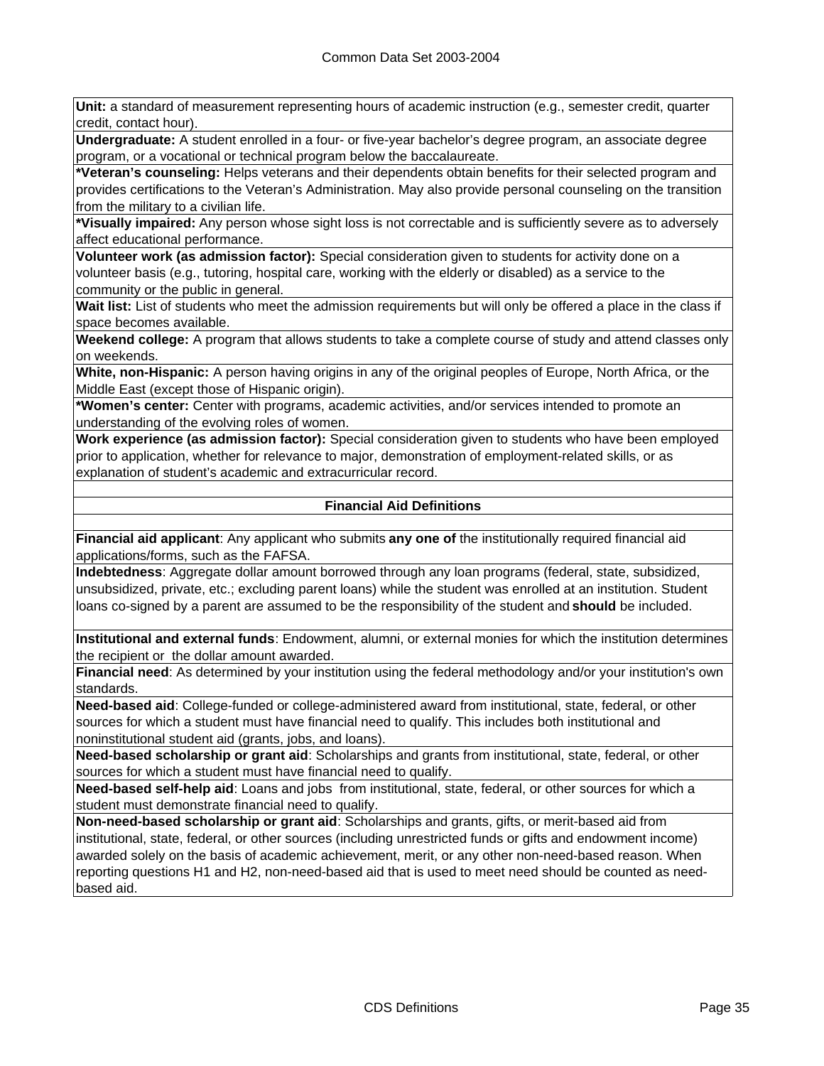**Unit:** a standard of measurement representing hours of academic instruction (e.g., semester credit, quarter credit, contact hour).

**Undergraduate:** A student enrolled in a four- or five-year bachelor's degree program, an associate degree program, or a vocational or technical program below the baccalaureate.

**\*Veteran's counseling:** Helps veterans and their dependents obtain benefits for their selected program and provides certifications to the Veteran's Administration. May also provide personal counseling on the transition from the military to a civilian life.

**\*Visually impaired:** Any person whose sight loss is not correctable and is sufficiently severe as to adversely affect educational performance.

**Volunteer work (as admission factor):** Special consideration given to students for activity done on a volunteer basis (e.g., tutoring, hospital care, working with the elderly or disabled) as a service to the community or the public in general.

**Wait list:** List of students who meet the admission requirements but will only be offered a place in the class if space becomes available.

**Weekend college:** A program that allows students to take a complete course of study and attend classes only on weekends.

**White, non-Hispanic:** A person having origins in any of the original peoples of Europe, North Africa, or the Middle East (except those of Hispanic origin).

**\*Women's center:** Center with programs, academic activities, and/or services intended to promote an understanding of the evolving roles of women.

**Work experience (as admission factor):** Special consideration given to students who have been employed prior to application, whether for relevance to major, demonstration of employment-related skills, or as explanation of student's academic and extracurricular record.

### **Financial Aid Definitions**

**Financial aid applicant**: Any applicant who submits **any one of** the institutionally required financial aid applications/forms, such as the FAFSA.

**Indebtedness**: Aggregate dollar amount borrowed through any loan programs (federal, state, subsidized, unsubsidized, private, etc.; excluding parent loans) while the student was enrolled at an institution. Student loans co-signed by a parent are assumed to be the responsibility of the student and **should** be included.

**Institutional and external funds**: Endowment, alumni, or external monies for which the institution determines the recipient or the dollar amount awarded.

**Financial need**: As determined by your institution using the federal methodology and/or your institution's own standards.

**Need-based aid**: College-funded or college-administered award from institutional, state, federal, or other sources for which a student must have financial need to qualify. This includes both institutional and noninstitutional student aid (grants, jobs, and loans).

**Need-based scholarship or grant aid**: Scholarships and grants from institutional, state, federal, or other sources for which a student must have financial need to qualify.

**Need-based self-help aid**: Loans and jobs from institutional, state, federal, or other sources for which a student must demonstrate financial need to qualify.

**Non-need-based scholarship or grant aid**: Scholarships and grants, gifts, or merit-based aid from institutional, state, federal, or other sources (including unrestricted funds or gifts and endowment income) awarded solely on the basis of academic achievement, merit, or any other non-need-based reason. When reporting questions H1 and H2, non-need-based aid that is used to meet need should be counted as needbased aid.